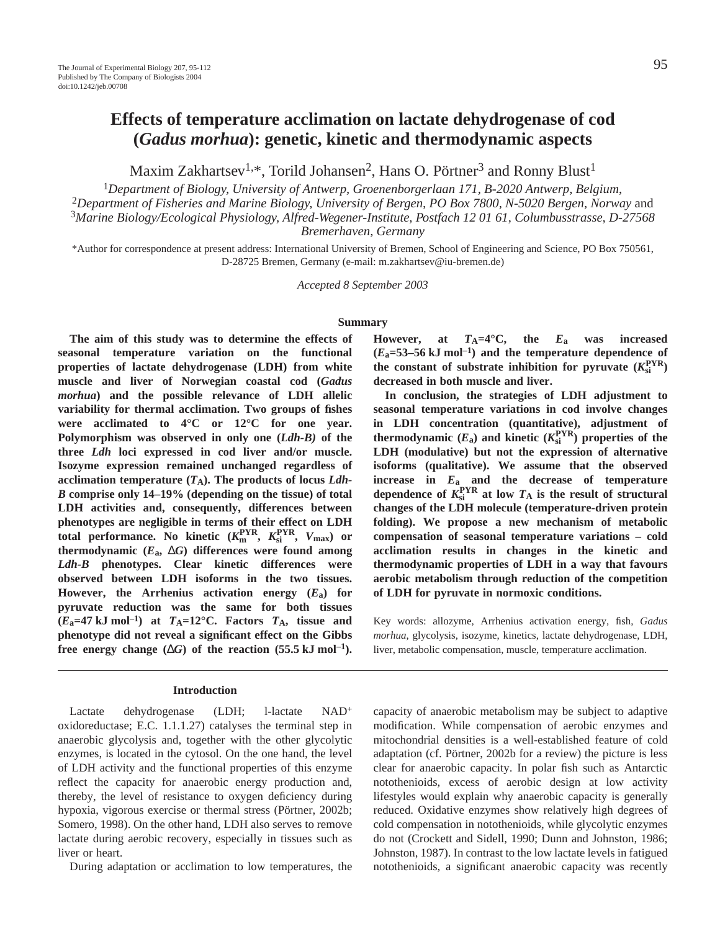# **Effects of temperature acclimation on lactate dehydrogenase of cod (***Gadus morhua***): genetic, kinetic and thermodynamic aspects**

Maxim Zakhartsev<sup>1,\*</sup>, Torild Johansen<sup>2</sup>, Hans O. Pörtner<sup>3</sup> and Ronny Blust<sup>1</sup>

<sup>1</sup>*Department of Biology, University of Antwerp, Groenenborgerlaan 171, B-2020 Antwerp, Belgium*, <sup>2</sup>*Department of Fisheries and Marine Biology, University of Bergen, PO Box 7800, N-5020 Bergen, Norway* and

<sup>3</sup>*Marine Biology/Ecological Physiology, Alfred-Wegener-Institute, Postfach 12 01 61, Columbusstrasse, D-27568 Bremerhaven, Germany*

\*Author for correspondence at present address: International University of Bremen, School of Engineering and Science, PO Box 750561, D-28725 Bremen, Germany (e-mail: m.zakhartsev@iu-bremen.de)

*Accepted 8 September 2003*

# **Summary**

**The aim of this study was to determine the effects of seasonal temperature variation on the functional properties of lactate dehydrogenase (LDH) from white muscle and liver of Norwegian coastal cod (***Gadus morhua***) and the possible relevance of LDH allelic variability for thermal acclimation. Two groups of fishes were acclimated to 4°C or 12°C for one year. Polymorphism was observed in only one (***Ldh-B)* **of the three** *Ldh* **loci expressed in cod liver and/or muscle. Isozyme expression remained unchanged regardless of** acclimation temperature  $(T_A)$ . The products of locus *Ldh*-*B* **comprise only 14–19% (depending on the tissue) of total LDH activities and, consequently, differences between phenotypes are negligible in terms of their effect on LDH total performance. No kinetic (** $K_{\text{m}}^{\text{PYR}}, K_{\text{si}}^{\text{PYR}}, V_{\text{max}}$ **) or** thermodynamic  $(E$ <sup>a</sup>,  $\Delta G$ <sup>*G*</sup>) differences were found among *Ldh-B* **phenotypes. Clear kinetic differences were observed between LDH isoforms in the two tissues. However, the Arrhenius activation energy (***E***a) for pyruvate reduction was the same for both tissues**  $(E_a=47 \text{ kJ mol}^{-1})$  at  $T_A=12^{\circ}$ C. Factors  $T_A$ , tissue and **phenotype did not reveal a significant effect on the Gibbs** free energy change  $(\Delta G)$  of the reaction (55.5 kJ mol<sup>-1</sup>).

#### **Introduction**

Lactate dehydrogenase (LDH; l-lactate NAD<sup>+</sup> oxidoreductase; E.C. 1.1.1.27) catalyses the terminal step in anaerobic glycolysis and, together with the other glycolytic enzymes, is located in the cytosol. On the one hand, the level of LDH activity and the functional properties of this enzyme reflect the capacity for anaerobic energy production and, thereby, the level of resistance to oxygen deficiency during hypoxia, vigorous exercise or thermal stress (Pörtner, 2002b; Somero, 1998). On the other hand, LDH also serves to remove lactate during aerobic recovery, especially in tissues such as liver or heart.

During adaptation or acclimation to low temperatures, the

However, at  $T_A=4^\circ \text{C}$ , the  $E_a$  was increased  $(E_a=53-56 \text{ kJ mol}^{-1})$  and the temperature dependence of the constant of substrate inhibition for pyruvate  $(K_{si}^{PYR})$ **decreased in both muscle and liver.**

**In conclusion, the strategies of LDH adjustment to seasonal temperature variations in cod involve changes in LDH concentration (quantitative), adjustment of** thermodynamic  $(E_a)$  and kinetic  $(K_{si}^{PYR})$  properties of the **LDH (modulative) but not the expression of alternative isoforms (qualitative). We assume that the observed increase in** *E***a and the decrease of temperature** dependence of  $K_{si}^{PYR}$  at low  $T_A$  is the result of structural **changes of the LDH molecule (temperature-driven protein folding). We propose a new mechanism of metabolic compensation of seasonal temperature variations – cold acclimation results in changes in the kinetic and thermodynamic properties of LDH in a way that favours aerobic metabolism through reduction of the competition of LDH for pyruvate in normoxic conditions.** 

Key words: allozyme, Arrhenius activation energy, fish, *Gadus morhua*, glycolysis, isozyme, kinetics, lactate dehydrogenase, LDH, liver, metabolic compensation, muscle, temperature acclimation.

capacity of anaerobic metabolism may be subject to adaptive modification. While compensation of aerobic enzymes and mitochondrial densities is a well-established feature of cold adaptation (cf. Pörtner, 2002b for a review) the picture is less clear for anaerobic capacity. In polar fish such as Antarctic notothenioids, excess of aerobic design at low activity lifestyles would explain why anaerobic capacity is generally reduced. Oxidative enzymes show relatively high degrees of cold compensation in notothenioids, while glycolytic enzymes do not (Crockett and Sidell, 1990; Dunn and Johnston, 1986; Johnston, 1987). In contrast to the low lactate levels in fatigued notothenioids, a significant anaerobic capacity was recently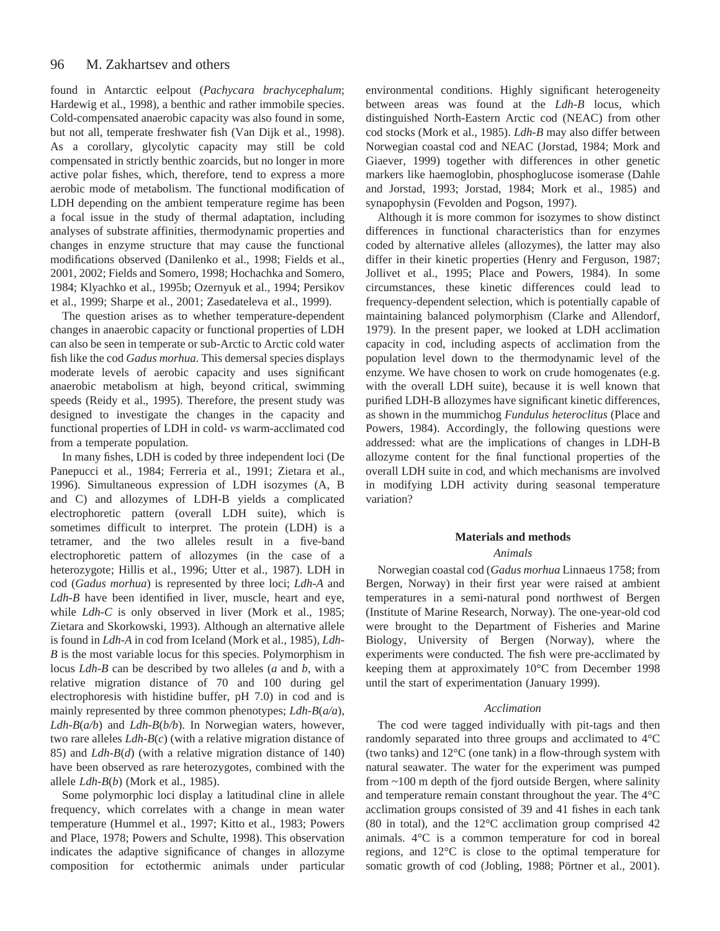#### 96 M. Zakhartsev and others

found in Antarctic eelpout (*Pachycara brachycephalum*; Hardewig et al., 1998), a benthic and rather immobile species. Cold-compensated anaerobic capacity was also found in some, but not all, temperate freshwater fish (Van Dijk et al., 1998). As a corollary, glycolytic capacity may still be cold compensated in strictly benthic zoarcids, but no longer in more active polar fishes, which, therefore, tend to express a more aerobic mode of metabolism. The functional modification of LDH depending on the ambient temperature regime has been a focal issue in the study of thermal adaptation, including analyses of substrate affinities, thermodynamic properties and changes in enzyme structure that may cause the functional modifications observed (Danilenko et al., 1998; Fields et al., 2001, 2002; Fields and Somero, 1998; Hochachka and Somero, 1984; Klyachko et al., 1995b; Ozernyuk et al., 1994; Persikov et al., 1999; Sharpe et al., 2001; Zasedateleva et al., 1999).

The question arises as to whether temperature-dependent changes in anaerobic capacity or functional properties of LDH can also be seen in temperate or sub-Arctic to Arctic cold water fish like the cod *Gadus morhua*. This demersal species displays moderate levels of aerobic capacity and uses significant anaerobic metabolism at high, beyond critical, swimming speeds (Reidy et al., 1995). Therefore, the present study was designed to investigate the changes in the capacity and functional properties of LDH in cold- *vs* warm-acclimated cod from a temperate population.

In many fishes, LDH is coded by three independent loci (De Panepucci et al., 1984; Ferreria et al., 1991; Zietara et al., 1996). Simultaneous expression of LDH isozymes (A, B and C) and allozymes of LDH-B yields a complicated electrophoretic pattern (overall LDH suite), which is sometimes difficult to interpret. The protein (LDH) is a tetramer, and the two alleles result in a five-band electrophoretic pattern of allozymes (in the case of a heterozygote; Hillis et al., 1996; Utter et al., 1987). LDH in cod (*Gadus morhua*) is represented by three loci; *Ldh-A* and *Ldh-B* have been identified in liver, muscle, heart and eye, while *Ldh-C* is only observed in liver (Mork et al., 1985; Zietara and Skorkowski, 1993). Although an alternative allele is found in *Ldh-A* in cod from Iceland (Mork et al., 1985), *Ldh-B* is the most variable locus for this species. Polymorphism in locus *Ldh-B* can be described by two alleles (*a* and *b,* with a relative migration distance of 70 and 100 during gel electrophoresis with histidine buffer, pH 7.0) in cod and is mainly represented by three common phenotypes; *Ldh-B*(*a/a*), *Ldh-B*(*a/b*) and *Ldh-B*(*b/b*). In Norwegian waters, however, two rare alleles *Ldh-B*(*c*) (with a relative migration distance of 85) and *Ldh-B*(*d*) (with a relative migration distance of 140) have been observed as rare heterozygotes, combined with the allele *Ldh-B*(*b*) (Mork et al., 1985).

Some polymorphic loci display a latitudinal cline in allele frequency, which correlates with a change in mean water temperature (Hummel et al., 1997; Kitto et al., 1983; Powers and Place, 1978; Powers and Schulte, 1998). This observation indicates the adaptive significance of changes in allozyme composition for ectothermic animals under particular

environmental conditions. Highly significant heterogeneity between areas was found at the *Ldh-B* locus, which distinguished North-Eastern Arctic cod (NEAC) from other cod stocks (Mork et al., 1985). *Ldh-B* may also differ between Norwegian coastal cod and NEAC (Jorstad, 1984; Mork and Giaever, 1999) together with differences in other genetic markers like haemoglobin, phosphoglucose isomerase (Dahle and Jorstad, 1993; Jorstad, 1984; Mork et al., 1985) and synapophysin (Fevolden and Pogson, 1997).

Although it is more common for isozymes to show distinct differences in functional characteristics than for enzymes coded by alternative alleles (allozymes), the latter may also differ in their kinetic properties (Henry and Ferguson, 1987; Jollivet et al., 1995; Place and Powers, 1984). In some circumstances, these kinetic differences could lead to frequency-dependent selection, which is potentially capable of maintaining balanced polymorphism (Clarke and Allendorf, 1979). In the present paper, we looked at LDH acclimation capacity in cod, including aspects of acclimation from the population level down to the thermodynamic level of the enzyme. We have chosen to work on crude homogenates (e.g. with the overall LDH suite), because it is well known that purified LDH-B allozymes have significant kinetic differences, as shown in the mummichog *Fundulus heteroclitus* (Place and Powers, 1984). Accordingly, the following questions were addressed: what are the implications of changes in LDH-B allozyme content for the final functional properties of the overall LDH suite in cod, and which mechanisms are involved in modifying LDH activity during seasonal temperature variation?

### **Materials and methods**

# *Animals*

Norwegian coastal cod (*Gadus morhua* Linnaeus 1758; from Bergen, Norway) in their first year were raised at ambient temperatures in a semi-natural pond northwest of Bergen (Institute of Marine Research, Norway). The one-year-old cod were brought to the Department of Fisheries and Marine Biology, University of Bergen (Norway), where the experiments were conducted. The fish were pre-acclimated by keeping them at approximately 10°C from December 1998 until the start of experimentation (January 1999).

#### *Acclimation*

The cod were tagged individually with pit-tags and then randomly separated into three groups and acclimated to 4°C (two tanks) and 12°C (one tank) in a flow-through system with natural seawater. The water for the experiment was pumped from  $\sim$ 100 m depth of the fjord outside Bergen, where salinity and temperature remain constant throughout the year. The 4°C acclimation groups consisted of 39 and 41 fishes in each tank (80 in total), and the 12°C acclimation group comprised 42 animals. 4°C is a common temperature for cod in boreal regions, and 12°C is close to the optimal temperature for somatic growth of cod (Jobling, 1988; Pörtner et al., 2001).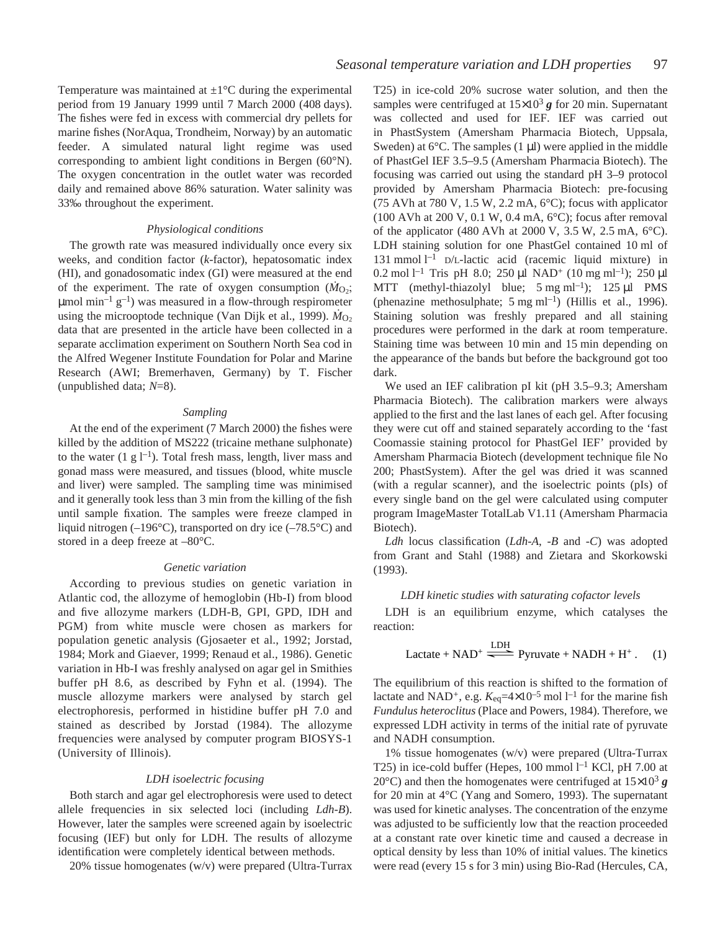Temperature was maintained at  $\pm 1^{\circ}$ C during the experimental period from 19 January 1999 until 7 March 2000 (408 days). The fishes were fed in excess with commercial dry pellets for marine fishes (NorAqua, Trondheim, Norway) by an automatic feeder. A simulated natural light regime was used corresponding to ambient light conditions in Bergen (60°N). The oxygen concentration in the outlet water was recorded daily and remained above 86% saturation. Water salinity was 33‰ throughout the experiment.

### *Physiological conditions*

The growth rate was measured individually once every six weeks, and condition factor (*k*-factor), hepatosomatic index (HI), and gonadosomatic index (GI) were measured at the end of the experiment. The rate of oxygen consumption  $(M<sub>O</sub>)$ ;  $\mu$ mol min<sup>-1</sup> g<sup>-1</sup>) was measured in a flow-through respirometer using the microoptode technique (Van Dijk et al., 1999).  $\dot{M}_{O_2}$ data that are presented in the article have been collected in a separate acclimation experiment on Southern North Sea cod in the Alfred Wegener Institute Foundation for Polar and Marine Research (AWI; Bremerhaven, Germany) by T. Fischer (unpublished data; *N*=8).

# *Sampling*

At the end of the experiment (7 March 2000) the fishes were killed by the addition of MS222 (tricaine methane sulphonate) to the water  $(1 g l^{-1})$ . Total fresh mass, length, liver mass and gonad mass were measured, and tissues (blood, white muscle and liver) were sampled. The sampling time was minimised and it generally took less than 3 min from the killing of the fish until sample fixation. The samples were freeze clamped in liquid nitrogen (–196°C), transported on dry ice (–78.5°C) and stored in a deep freeze at –80°C.

### *Genetic variation*

According to previous studies on genetic variation in Atlantic cod, the allozyme of hemoglobin (Hb-I) from blood and five allozyme markers (LDH-B, GPI, GPD, IDH and PGM) from white muscle were chosen as markers for population genetic analysis (Gjosaeter et al., 1992; Jorstad, 1984; Mork and Giaever, 1999; Renaud et al., 1986). Genetic variation in Hb-I was freshly analysed on agar gel in Smithies buffer pH 8.6, as described by Fyhn et al. (1994). The muscle allozyme markers were analysed by starch gel electrophoresis, performed in histidine buffer pH 7.0 and stained as described by Jorstad (1984). The allozyme frequencies were analysed by computer program BIOSYS-1 (University of Illinois).

#### *LDH isoelectric focusing*

Both starch and agar gel electrophoresis were used to detect allele frequencies in six selected loci (including *Ldh-B*). However, later the samples were screened again by isoelectric focusing (IEF) but only for LDH. The results of allozyme identification were completely identical between methods.

20% tissue homogenates (w/v) were prepared (Ultra-Turrax

T25) in ice-cold 20% sucrose water solution, and then the samples were centrifuged at  $15\times10^3$  g for 20 min. Supernatant was collected and used for IEF. IEF was carried out in PhastSystem (Amersham Pharmacia Biotech, Uppsala, Sweden) at  $6^{\circ}$ C. The samples (1 µl) were applied in the middle of PhastGel IEF 3.5–9.5 (Amersham Pharmacia Biotech). The focusing was carried out using the standard pH 3–9 protocol provided by Amersham Pharmacia Biotech: pre-focusing (75 AVh at 780 V, 1.5 W, 2.2 mA,  $6^{\circ}$ C); focus with applicator (100 AVh at 200 V, 0.1 W, 0.4 mA,  $6^{\circ}$ C); focus after removal of the applicator (480 AVh at 2000 V, 3.5 W, 2.5 mA,  $6^{\circ}$ C). LDH staining solution for one PhastGel contained 10 ml of 131 mmol  $l^{-1}$  D/L-lactic acid (racemic liquid mixture) in 0.2 mol  $l^{-1}$  Tris pH 8.0; 250  $\mu$ l NAD<sup>+</sup> (10 mg ml<sup>-1</sup>); 250  $\mu$ l MTT (methyl-thiazolyl blue;  $5 \text{ mg ml}^{-1}$ ); 125 µl PMS (phenazine methosulphate;  $5 \text{ mg ml}^{-1}$ ) (Hillis et al., 1996). Staining solution was freshly prepared and all staining procedures were performed in the dark at room temperature. Staining time was between 10 min and 15 min depending on the appearance of the bands but before the background got too dark.

We used an IEF calibration pI kit (pH 3.5–9.3; Amersham Pharmacia Biotech). The calibration markers were always applied to the first and the last lanes of each gel. After focusing they were cut off and stained separately according to the 'fast Coomassie staining protocol for PhastGel IEF' provided by Amersham Pharmacia Biotech (development technique file No 200; PhastSystem). After the gel was dried it was scanned (with a regular scanner), and the isoelectric points (pIs) of every single band on the gel were calculated using computer program ImageMaster TotalLab V1.11 (Amersham Pharmacia Biotech).

*Ldh* locus classification (*Ldh-A*, *-B* and *-C*) was adopted from Grant and Stahl (1988) and Zietara and Skorkowski (1993).

# *LDH kinetic studies with saturating cofactor levels*

LDH is an equilibrium enzyme, which catalyses the reaction:

n:  
Lactate + NAD<sup>+</sup> 
$$
\xrightarrow{\text{LDH}}
$$
 Pyruvate + NADH + H<sup>+</sup>. (1)

The equilibrium of this reaction is shifted to the formation of lactate and NAD<sup>+</sup>, e.g.  $K_{eq} = 4 \times 10^{-5}$  mol l<sup>-1</sup> for the marine fish *Fundulus heteroclitus* (Place and Powers, 1984). Therefore, we expressed LDH activity in terms of the initial rate of pyruvate and NADH consumption.

1% tissue homogenates (w/v) were prepared (Ultra-Turrax T25) in ice-cold buffer (Hepes,  $100$  mmol  $l<sup>-1</sup>$  KCl, pH 7.00 at 20 $^{\circ}$ C) and then the homogenates were centrifuged at  $15\times10^{3}$  g for 20 min at  $4^{\circ}$ C (Yang and Somero, 1993). The supernatant was used for kinetic analyses. The concentration of the enzyme was adjusted to be sufficiently low that the reaction proceeded at a constant rate over kinetic time and caused a decrease in optical density by less than 10% of initial values. The kinetics were read (every 15 s for 3 min) using Bio-Rad (Hercules, CA,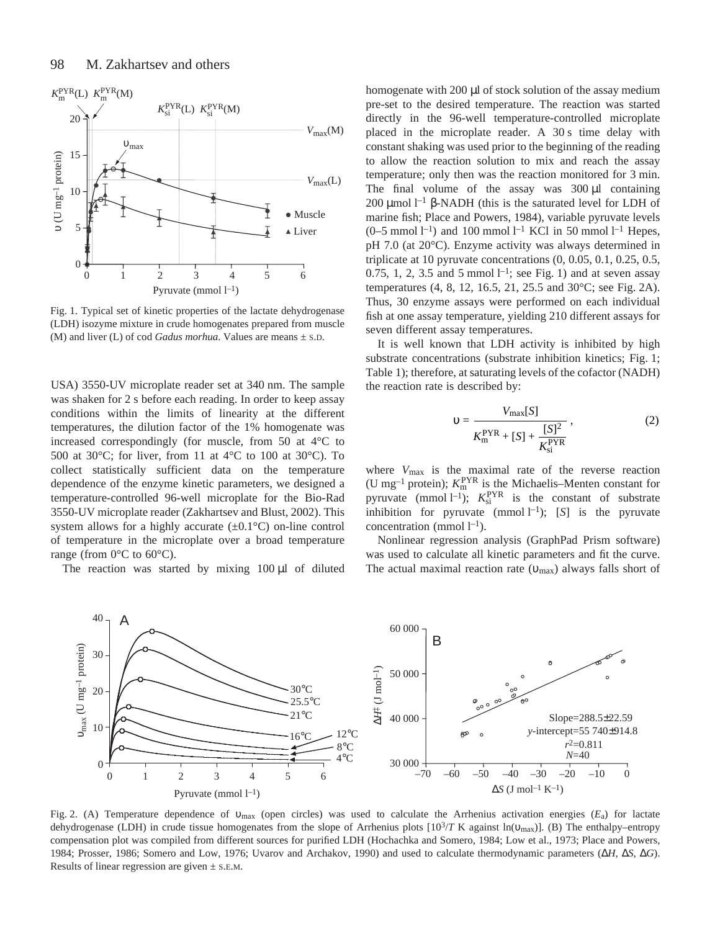

Fig. 1. Typical set of kinetic properties of the lactate dehydrogenase (LDH) isozyme mixture in crude homogenates prepared from muscle (M) and liver (L) of cod *Gadus morhua*. Values are means  $\pm$  s.D.

USA) 3550-UV microplate reader set at 340 nm. The sample was shaken for 2 s before each reading. In order to keep assay conditions within the limits of linearity at the different temperatures, the dilution factor of the 1% homogenate was increased correspondingly (for muscle, from 50 at 4°C to 500 at 30 $^{\circ}$ C; for liver, from 11 at 4 $^{\circ}$ C to 100 at 30 $^{\circ}$ C). To collect statistically sufficient data on the temperature dependence of the enzyme kinetic parameters, we designed a temperature-controlled 96-well microplate for the Bio-Rad 3550-UV microplate reader (Zakhartsev and Blust, 2002). This system allows for a highly accurate  $(\pm 0.1^{\circ}C)$  on-line control of temperature in the microplate over a broad temperature range (from  $0^{\circ}$ C to  $60^{\circ}$ C).

The reaction was started by mixing  $100 \mu l$  of diluted

homogenate with 200  $\mu$ l of stock solution of the assay medium pre-set to the desired temperature. The reaction was started directly in the 96-well temperature-controlled microplate placed in the microplate reader. A  $30 s$  time delay with constant shaking was used prior to the beginning of the reading to allow the reaction solution to mix and reach the assay temperature; only then was the reaction monitored for 3 min. The final volume of the assay was  $300 \mu l$  containing 200 μmol  $l^{-1}$  β-NADH (this is the saturated level for LDH of marine fish; Place and Powers, 1984), variable pyruvate levels  $(0-5 \text{ mmol } l^{-1})$  and 100 mmol  $l^{-1}$  KCl in 50 mmol  $l^{-1}$  Hepes, pH 7.0 (at 20°C). Enzyme activity was always determined in triplicate at 10 pyruvate concentrations (0, 0.05, 0.1, 0.25, 0.5, 0.75, 1, 2, 3.5 and 5 mmol  $l^{-1}$ ; see Fig. 1) and at seven assay temperatures  $(4, 8, 12, 16.5, 21, 25.5, and 30^{\circ}$ C; see Fig. 2A). Thus, 30 enzyme assays were performed on each individual fish at one assay temperature, yielding 210 different assays for seven different assay temperatures.

It is well known that LDH activity is inhibited by high substrate concentrations (substrate inhibition kinetics; Fig. 1; Table 1); therefore, at saturating levels of the cofactor (NADH) the reaction rate is described by:

$$
v = \frac{V_{\text{max}}[S]}{K_{\text{m}}^{\text{PYR}} + [S] + \frac{[S]^2}{K_{\text{si}}^{\text{PYR}}}},
$$
(2)

where *V*max is the maximal rate of the reverse reaction (U mg<sup>-1</sup> protein);  $K_{\text{m}}^{\text{PYR}}$  is the Michaelis–Menten constant for pyruvate (mmol  $l^{-1}$ );  $K_{si}^{PYR}$  is the constant of substrate inhibition for pyruvate  $\pmod{1^{-1}}$ ; [*S*] is the pyruvate concentration (mmol  $l^{-1}$ ).

Nonlinear regression analysis (GraphPad Prism software) was used to calculate all kinetic parameters and fit the curve. The actual maximal reaction rate (υmax) always falls short of



Fig. 2. (A) Temperature dependence of υ<sub>max</sub> (open circles) was used to calculate the Arrhenius activation energies (*E*<sub>a</sub>) for lactate dehydrogenase (LDH) in crude tissue homogenates from the slope of Arrhenius plots [103/*T* K against ln(υmax)]. (B) The enthalpy–entropy compensation plot was compiled from different sources for purified LDH (Hochachka and Somero, 1984; Low et al., 1973; Place and Powers, 1984; Prosser, 1986; Somero and Low, 1976; Uvarov and Archakov, 1990) and used to calculate thermodynamic parameters (∆*H*, ∆*S*, ∆*G*). Results of linear regression are given  $\pm$  s.e.m.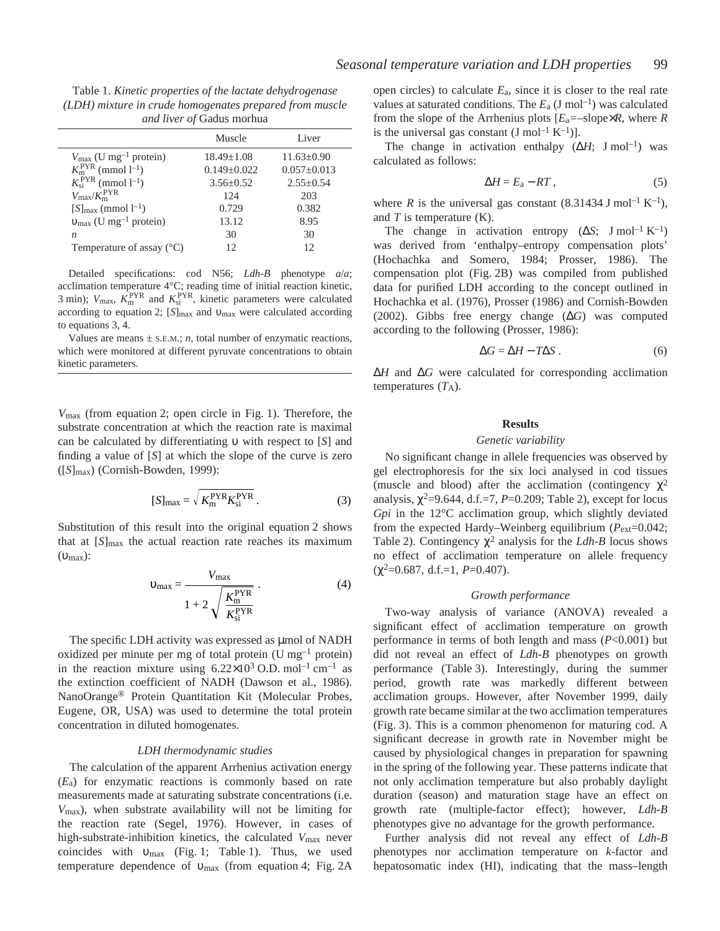Table 1. *Kinetic properties of the lactate dehydrogenase (LDH) mixture in crude homogenates prepared from muscle and liver of* Gadus morhua

|                                               | Muscle            | Liver             |
|-----------------------------------------------|-------------------|-------------------|
| $V_{\text{max}}$ (U mg <sup>-1</sup> protein) | $18.49 + 1.08$    | $11.63+0.90$      |
| $K_{\rm m}^{\rm PYR}$ (mmol 1 <sup>-1</sup> ) | $0.149 \pm 0.022$ | $0.057 \pm 0.013$ |
| $K_{\rm ei}^{\rm PYR}$ (mmol $l^{-1}$ )       | $3.56 + 0.52$     | $2.55 \pm 0.54$   |
| $V_{\text{max}}/K_{\text{m}}^{\text{PYR}}$    | 124               | 203               |
| $[S]_{\text{max}}$ (mmol $l^{-1}$ )           | 0.729             | 0.382             |
| $v_{\text{max}}$ (U mg <sup>-1</sup> protein) | 13.12             | 8.95              |
| n                                             | 30                | 30                |
| Temperature of assay $(^{\circ}C)$            | 12                | 12                |

Detailed specifications: cod N56; *Ldh-B* phenotype *a*/*a*; acclimation temperature 4°C; reading time of initial reaction kinetic, 3 min);  $V_{\text{max}}$ ,  $K_{\text{m}}^{\text{PYR}}$  and  $K_{\text{si}}^{\text{PYR}}$ , kinetic parameters were calculated according to equation 2; [*S*]<sub>max</sub> and υ<sub>max</sub> were calculated according to equations 3, 4.

Values are means  $\pm$  S.E.M.; *n*, total number of enzymatic reactions, which were monitored at different pyruvate concentrations to obtain kinetic parameters.

*V*<sub>max</sub> (from equation 2; open circle in Fig. 1). Therefore, the substrate concentration at which the reaction rate is maximal can be calculated by differentiating υ with respect to [*S*] and finding a value of [*S*] at which the slope of the curve is zero ([*S*]max) (Cornish-Bowden, 1999):

$$
[S]_{\text{max}} = \sqrt{K_{\text{m}}^{\text{PYR}} K_{\text{si}}^{\text{PYR}}}. \tag{3}
$$

Substitution of this result into the original equation 2 shows that at [*S*]<sub>max</sub> the actual reaction rate reaches its maximum (υmax):

$$
\upsilon_{\text{max}} = \frac{V_{\text{max}}}{1 + 2 \sqrt{\frac{K_{\text{m}}^{\text{PYR}}}{K_{\text{si}}^{\text{PYR}}}}}
$$
 (4)

The specific LDH activity was expressed as µmol of NADH oxidized per minute per mg of total protein (U mg<sup>-1</sup> protein) in the reaction mixture using  $6.22 \times 10^3$  O.D. mol<sup>-1</sup> cm<sup>-1</sup> as the extinction coefficient of NADH (Dawson et al., 1986). NanoOrange® Protein Quantitation Kit (Molecular Probes, Eugene, OR, USA) was used to determine the total protein concentration in diluted homogenates.

#### *LDH thermodynamic studies*

The calculation of the apparent Arrhenius activation energy (*E*a) for enzymatic reactions is commonly based on rate measurements made at saturating substrate concentrations (i.e. *V*max), when substrate availability will not be limiting for the reaction rate (Segel, 1976). However, in cases of high-substrate-inhibition kinetics, the calculated *V*max never coincides with  $v_{\text{max}}$  (Fig. 1; Table 1). Thus, we used temperature dependence of  $v_{\text{max}}$  (from equation 4; Fig. 2A

open circles) to calculate  $E_a$ , since it is closer to the real rate values at saturated conditions. The  $E_a$  (J mol<sup>-1</sup>) was calculated from the slope of the Arrhenius plots  $[E_a = -s]$ lope $\times R$ , where *R* is the universal gas constant  $(J \text{ mol}^{-1} \text{K}^{-1})$ ].

The change in activation enthalpy  $(\Delta H; \text{J} \text{mol}^{-1})$  was calculated as follows:

$$
\Delta H = E_{\rm a} - RT \,, \tag{5}
$$

where *R* is the universal gas constant (8.31434 J mol<sup>-1</sup> K<sup>-1</sup>), and *T* is temperature (K).

The change in activation entropy  $(\Delta S; J mol^{-1} K^{-1})$ was derived from 'enthalpy–entropy compensation plots' (Hochachka and Somero, 1984; Prosser, 1986). The compensation plot (Fig. 2B) was compiled from published data for purified LDH according to the concept outlined in Hochachka et al. (1976), Prosser (1986) and Cornish-Bowden (2002). Gibbs free energy change (∆*G*) was computed according to the following (Prosser, 1986):

$$
\Delta G = \Delta H - T\Delta S \,. \tag{6}
$$

∆*H* and ∆*G* were calculated for corresponding acclimation temperatures  $(T_A)$ .

#### **Results**

# *Genetic variability*

No significant change in allele frequencies was observed by gel electrophoresis for the six loci analysed in cod tissues (muscle and blood) after the acclimation (contingency  $\chi^2$ analysis,  $\chi^2$ =9.644, d.f.=7, *P*=0.209; Table 2), except for locus *Gpi* in the 12°C acclimation group, which slightly deviated from the expected Hardy–Weinberg equilibrium ( $P_{ext}=0.042$ ; Table 2). Contingency  $\chi^2$  analysis for the *Ldh-B* locus shows no effect of acclimation temperature on allele frequency  $(\chi^2=0.687, d.f.=1, P=0.407).$ 

### *Growth performance*

Two-way analysis of variance (ANOVA) revealed a significant effect of acclimation temperature on growth performance in terms of both length and mass (*P*<0.001) but did not reveal an effect of *Ldh-B* phenotypes on growth performance (Table 3). Interestingly, during the summer period, growth rate was markedly different between acclimation groups. However, after November 1999, daily growth rate became similar at the two acclimation temperatures (Fig. 3). This is a common phenomenon for maturing cod. A significant decrease in growth rate in November might be caused by physiological changes in preparation for spawning in the spring of the following year. These patterns indicate that not only acclimation temperature but also probably daylight duration (season) and maturation stage have an effect on growth rate (multiple-factor effect); however, *Ldh-B* phenotypes give no advantage for the growth performance.

Further analysis did not reveal any effect of *Ldh-B* phenotypes nor acclimation temperature on *k*-factor and hepatosomatic index (HI), indicating that the mass–length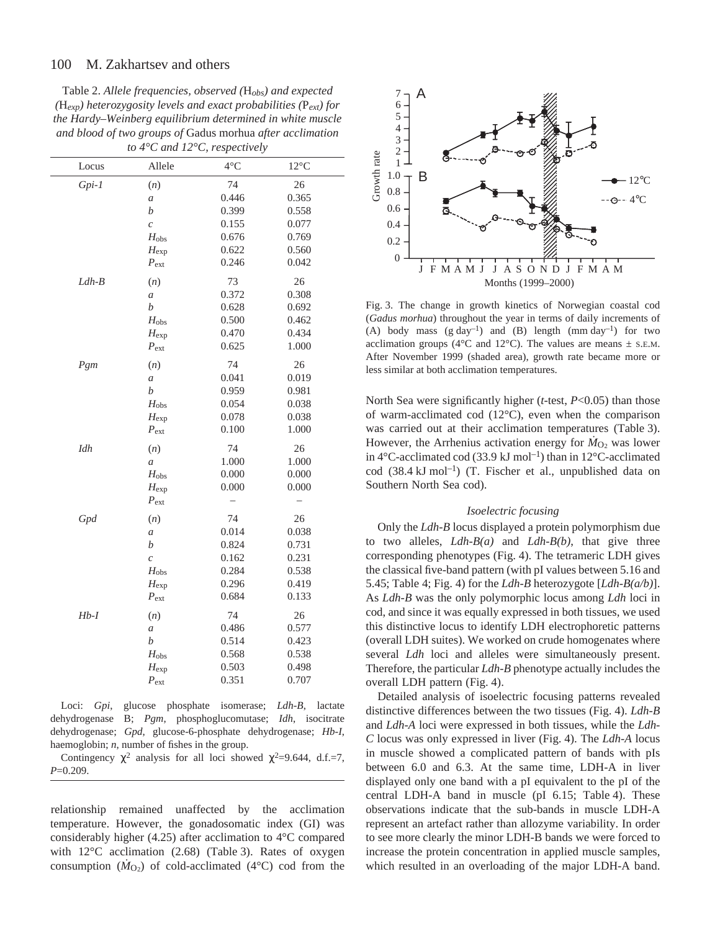Table 2. *Allele frequencies, observed (*H*obs) and expected (*H*exp) heterozygosity levels and exact probabilities (*P*ext) for the Hardy–Weinberg equilibrium determined in white muscle and blood of two groups of* Gadus morhua *after acclimation to 4°C and 12°C, respectively*

|         | $\sim$ $\omega$ $\alpha$ $\pm$ | $\mathcal{L}$ , respectively |                |
|---------|--------------------------------|------------------------------|----------------|
| Locus   | Allele                         | $4^{\circ}C$                 | $12^{\circ}$ C |
| $Gpi-I$ | (n)                            | 74                           | 26             |
|         | $\boldsymbol{a}$               | 0.446                        | 0.365          |
|         | $\boldsymbol{b}$               | 0.399                        | 0.558          |
|         | $\mathcal{C}_{0}$              | 0.155                        | 0.077          |
|         | $H_{\rm obs}$                  | 0.676                        | 0.769          |
|         | $H_{\rm exp}$                  | 0.622                        | 0.560          |
|         | $P_{\text{ext}}$               | 0.246                        | 0.042          |
| $Ldh-B$ | (n)                            | 73                           | 26             |
|         | $\boldsymbol{a}$               | 0.372                        | 0.308          |
|         | $\boldsymbol{b}$               | 0.628                        | 0.692          |
|         | $H_{\rm obs}$                  | 0.500                        | 0.462          |
|         | $H_{\rm exp}$                  | 0.470                        | 0.434          |
|         | $P_{\text{ext}}$               | 0.625                        | 1.000          |
| Pgm     | (n)                            | 74                           | 26             |
|         | $\boldsymbol{a}$               | 0.041                        | 0.019          |
|         | $\boldsymbol{b}$               | 0.959                        | 0.981          |
|         | $H_{\text{obs}}$               | 0.054                        | 0.038          |
|         | $H_{\rm exp}$                  | 0.078                        | 0.038          |
|         | $P_{\rm ext}$                  | 0.100                        | 1.000          |
| Idh     | (n)                            | 74                           | 26             |
|         | $\boldsymbol{a}$               | 1.000                        | 1.000          |
|         | $H_{\rm obs}$                  | 0.000                        | 0.000          |
|         | $H_{\rm exp}$                  | 0.000                        | 0.000          |
|         | $P_{\text{ext}}$               |                              |                |
| Gpd     | (n)                            | 74                           | 26             |
|         | $\boldsymbol{a}$               | 0.014                        | 0.038          |
|         | $\boldsymbol{b}$               | 0.824                        | 0.731          |
|         | $\overline{c}$                 | 0.162                        | 0.231          |
|         | $H_{\rm obs}$                  | 0.284                        | 0.538          |
|         | $H_{\rm exp}$                  | 0.296                        | 0.419          |
|         | $P_{\rm ext}$                  | 0.684                        | 0.133          |
| $Hb-I$  | (n)                            | 74                           | 26             |
|         | $\boldsymbol{a}$               | 0.486                        | 0.577          |
|         | $\boldsymbol{b}$               | 0.514                        | 0.423          |
|         | $H_{\rm obs}$                  | 0.568                        | 0.538          |
|         | $H_{\rm exp}$                  | 0.503                        | 0.498          |
|         | $P_{\text{ext}}$               | 0.351                        | 0.707          |

Loci: *Gpi*, glucose phosphate isomerase; *Ldh-B*, lactate dehydrogenase B; *Pgm*, phosphoglucomutase; *Idh*, isocitrate dehydrogenase; *Gpd*, glucose-6-phosphate dehydrogenase; *Hb-I*, haemoglobin; *n*, number of fishes in the group.

Contingency  $\chi^2$  analysis for all loci showed  $\chi^2$ =9.644, d.f.=7, *P*=0.209.

relationship remained unaffected by the acclimation temperature. However, the gonadosomatic index (GI) was considerably higher (4.25) after acclimation to 4°C compared with  $12^{\circ}$ C acclimation (2.68) (Table 3). Rates of oxygen consumption  $(M<sub>O2</sub>)$  of cold-acclimated (4<sup>o</sup>C) cod from the



Fig. 3. The change in growth kinetics of Norwegian coastal cod (*Gadus morhua*) throughout the year in terms of daily increments of (A) body mass  $(g \text{ day}^{-1})$  and (B) length (mm day<sup>-1</sup>) for two acclimation groups (4 $\rm ^{\circ}C$  and 12 $\rm ^{\circ}C$ ). The values are means  $\pm$  s.e.m. After November 1999 (shaded area), growth rate became more or less similar at both acclimation temperatures.

North Sea were significantly higher (*t*-test, *P*<0.05) than those of warm-acclimated cod (12°C), even when the comparison was carried out at their acclimation temperatures (Table 3). However, the Arrhenius activation energy for  $M<sub>O</sub>$ , was lower in 4 $\degree$ C-acclimated cod (33.9 kJ mol<sup>-1</sup>) than in 12 $\degree$ C-acclimated cod  $(38.4 \text{ kJ mol}^{-1})$  (T. Fischer et al., unpublished data on Southern North Sea cod).

### *Isoelectric focusing*

Only the *Ldh-B* locus displayed a protein polymorphism due to two alleles, *Ldh-B(a)* and *Ldh-B(b)*, that give three corresponding phenotypes (Fig. 4). The tetrameric LDH gives the classical five-band pattern (with pI values between 5.16 and 5.45; Table 4; Fig. 4) for the *Ldh-B* heterozygote  $[Ldh-B(a/b)]$ . As *Ldh-B* was the only polymorphic locus among *Ldh* loci in cod, and since it was equally expressed in both tissues, we used this distinctive locus to identify LDH electrophoretic patterns (overall LDH suites). We worked on crude homogenates where several *Ldh* loci and alleles were simultaneously present. Therefore, the particular *Ldh-B* phenotype actually includes the overall LDH pattern (Fig. 4).

Detailed analysis of isoelectric focusing patterns revealed distinctive differences between the two tissues (Fig. 4). *Ldh-B* and *Ldh-A* loci were expressed in both tissues, while the *Ldh-C* locus was only expressed in liver (Fig. 4). The *Ldh-A* locus in muscle showed a complicated pattern of bands with pIs between 6.0 and 6.3. At the same time, LDH-A in liver displayed only one band with a pI equivalent to the pI of the central LDH-A band in muscle (pI  $6.15$ ; Table 4). These observations indicate that the sub-bands in muscle LDH-A represent an artefact rather than allozyme variability. In order to see more clearly the minor LDH-B bands we were forced to increase the protein concentration in applied muscle samples, which resulted in an overloading of the major LDH-A band.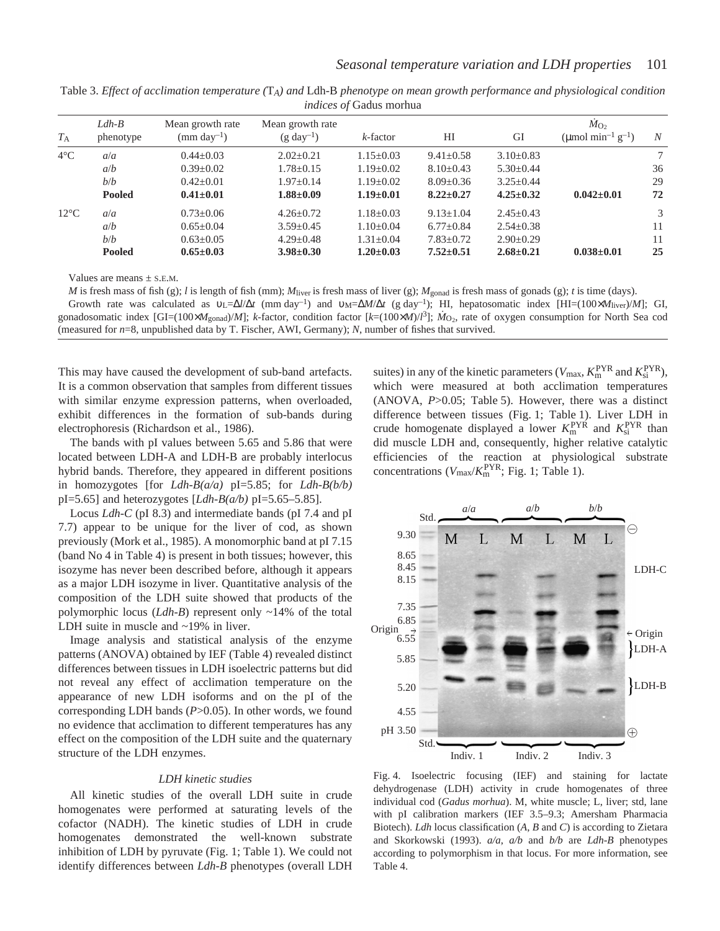|                |                      |                                            |                                            | m               |                 |                 |                                                                 |        |
|----------------|----------------------|--------------------------------------------|--------------------------------------------|-----------------|-----------------|-----------------|-----------------------------------------------------------------|--------|
| $T_{\rm A}$    | $Ldh-B$<br>phenotype | Mean growth rate<br>$\text{(mm day}^{-1})$ | Mean growth rate<br>$(g \text{ day}^{-1})$ | $k$ -factor     | HI              | GI              | $\dot{M}_{\Omega}$<br>(µmol min <sup>-1</sup> g <sup>-1</sup> ) | N      |
| $4^{\circ}$ C  | a/a                  | $0.44 + 0.03$                              | $2.02+0.21$                                | $1.15 + 0.03$   | $9.41 \pm 0.58$ | $3.10+0.83$     |                                                                 | $\tau$ |
|                | a/b                  | $0.39 \pm 0.02$                            | $1.78 \pm 0.15$                            | $1.19 \pm 0.02$ | $8.10\pm0.43$   | $5.30 \pm 0.44$ |                                                                 | 36     |
|                | b/b                  | $0.42+0.01$                                | $1.97+0.14$                                | $1.19 + 0.02$   | $8.09 \pm 0.36$ | $3.25 \pm 0.44$ |                                                                 | 29     |
|                | <b>Pooled</b>        | $0.41 \pm 0.01$                            | $1.88 \pm 0.09$                            | $1.19 \pm 0.01$ | $8.22 \pm 0.27$ | $4.25 \pm 0.32$ | $0.042 \pm 0.01$                                                | 72     |
| $12^{\circ}$ C | a/a                  | $0.73 \pm 0.06$                            | $4.26 + 0.72$                              | $1.18 + 0.03$   | $9.13 \pm 1.04$ | $2.45+0.43$     |                                                                 | 3      |
|                | a/b                  | $0.65 \pm 0.04$                            | $3.59 \pm 0.45$                            | $1.10\pm0.04$   | $6.77 \pm 0.84$ | $2.54 \pm 0.38$ |                                                                 | 11     |
|                | b/b                  | $0.63 \pm 0.05$                            | $4.29 + 0.48$                              | $1.31 + 0.04$   | $7.83 \pm 0.72$ | $2.90 \pm 0.29$ |                                                                 | 11     |
|                | <b>Pooled</b>        | $0.65 \pm 0.03$                            | $3.98 \pm 0.30$                            | $1.20 \pm 0.03$ | $7.52 \pm 0.51$ | $2.68 \pm 0.21$ | $0.038 + 0.01$                                                  | 25     |
|                |                      |                                            |                                            |                 |                 |                 |                                                                 |        |

Table 3. *Effect of acclimation temperature (*T*A) and* Ldh-B *phenotype on mean growth performance and physiological condition indices of* Gadus morhua

Values are means  $\pm$  S.E.M.

*M* is fresh mass of fish (g); *l* is length of fish (mm); *M*liver is fresh mass of liver (g); *M*gonad is fresh mass of gonads (g); *t* is time (days). Growth rate was calculated as  $v_L=\Delta l/\Delta t$  (mm day<sup>-1</sup>) and  $v_M=\Delta M/\Delta t$  (g day<sup>-1</sup>); HI, hepatosomatic index [HI=(100×*M*<sub>liver</sub>)/*M*]; GI, gonadosomatic index [GI=(100× $M_{\text{gonad}}/M$ ]; *k*-factor, condition factor [*k*=(100× $M$ )/ $l^3$ ];  $\dot{M}_{\text{O}_2}$ , rate of oxygen consumption for North Sea cod (measured for *n*=8, unpublished data by T. Fischer, AWI, Germany); *N*, number of fishes that survived.

This may have caused the development of sub-band artefacts. It is a common observation that samples from different tissues with similar enzyme expression patterns, when overloaded, exhibit differences in the formation of sub-bands during electrophoresis (Richardson et al., 1986).

The bands with pI values between 5.65 and 5.86 that were located between LDH-A and LDH-B are probably interlocus hybrid bands. Therefore, they appeared in different positions in homozygotes [for *Ldh-B(a/a)* pI=5.85; for *Ldh-B(b/b)*  $pI=5.65$ ] and heterozygotes [*Ldh-B(a/b)*  $pI=5.65-5.85$ ].

Locus *Ldh-C* (pI 8.3) and intermediate bands (pI 7.4 and pI 7.7) appear to be unique for the liver of cod, as shown previously (Mork et al., 1985). A monomorphic band at pI 7.15 (band No 4 in Table 4) is present in both tissues; however, this isozyme has never been described before, although it appears as a major LDH isozyme in liver. Quantitative analysis of the composition of the LDH suite showed that products of the polymorphic locus (*Ldh-B*) represent only ~14% of the total LDH suite in muscle and ~19% in liver.

Image analysis and statistical analysis of the enzyme patterns (ANOVA) obtained by IEF (Table 4) revealed distinct differences between tissues in LDH isoelectric patterns but did not reveal any effect of acclimation temperature on the appearance of new LDH isoforms and on the pI of the corresponding LDH bands (*P*>0.05). In other words, we found no evidence that acclimation to different temperatures has any effect on the composition of the LDH suite and the quaternary structure of the LDH enzymes.

#### *LDH kinetic studies*

All kinetic studies of the overall LDH suite in crude homogenates were performed at saturating levels of the cofactor (NADH). The kinetic studies of LDH in crude homogenates demonstrated the well-known substrate inhibition of LDH by pyruvate (Fig.  $1$ ; Table  $1$ ). We could not identify differences between *Ldh-B* phenotypes (overall LDH

suites) in any of the kinetic parameters ( $V_{\text{max}}$ ,  $K_{\text{m}}^{\text{PYR}}$  and  $K_{\text{si}}^{\text{PYR}}$ ), which were measured at both acclimation temperatures (ANOVA, *P*>0.05; Table 5). However, there was a distinct difference between tissues (Fig. 1; Table 1). Liver LDH in crude homogenate displayed a lower  $K_{\rm m}^{\rm PYR}$  and  $K_{\rm si}^{\rm PYR}$  than did muscle LDH and, consequently, higher relative catalytic efficiencies of the reaction at physiological substrate concentrations ( $V_{\text{max}}/K_{\text{m}}^{\text{PYR}}$ ; Fig. 1; Table 1).



Fig. 4. Isoelectric focusing (IEF) and staining for lactate dehydrogenase (LDH) activity in crude homogenates of three individual cod (*Gadus morhua*). M, white muscle; L, liver; std, lane with pI calibration markers (IEF 3.5–9.3; Amersham Pharmacia Biotech). *Ldh* locus classification (*A*, *B* and *C*) is according to Zietara and Skorkowski (1993). *a/a*, *a/b* and *b/b* are *Ldh-B* phenotypes according to polymorphism in that locus. For more information, see Table 4.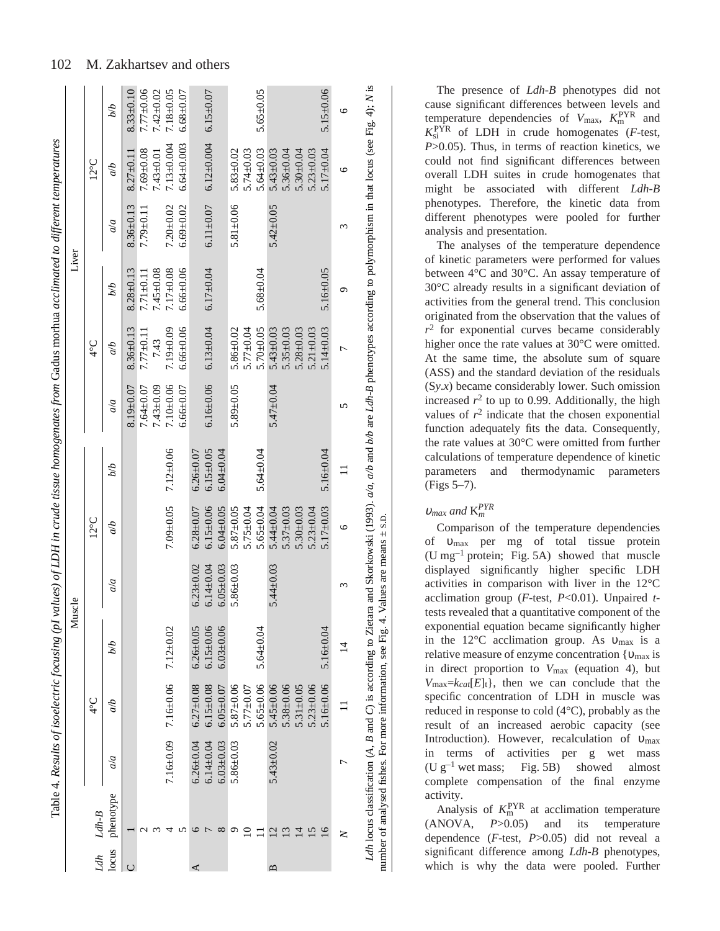|                                                                                                                                                                                                        |                    |                 |                 | Muscle          |                 |                 |                 |                 | Liver           |                 |                 |                                  |
|--------------------------------------------------------------------------------------------------------------------------------------------------------------------------------------------------------|--------------------|-----------------|-----------------|-----------------|-----------------|-----------------|-----------------|-----------------|-----------------|-----------------|-----------------|----------------------------------|
|                                                                                                                                                                                                        |                    | $\frac{1}{2}$   |                 |                 | $12^{\circ}$ C  |                 |                 | $\frac{1}{4}$   |                 |                 | $12^{\circ}$ C  |                                  |
|                                                                                                                                                                                                        | a/a                | q/p             | øЮ              | a/a             | qр              | qд              | a/a             | qр              | q/q             | a/a             | qр              | øр                               |
|                                                                                                                                                                                                        |                    |                 |                 |                 |                 |                 | $8.19 \pm 0.07$ | $8.36 \pm 0.13$ | $8.28 + 0.13$   | $8.36 \pm 0.13$ | $8.27 \pm 0.11$ | $8.33 \pm 0.10$                  |
|                                                                                                                                                                                                        |                    |                 |                 |                 |                 |                 | $7.64 + 0.07$   | $7.77 \pm 0.11$ | $7.71 + 0.11$   | $7.79 \pm 0.11$ | $7.69 + 0.08$   | $7.77 \pm 0.06$                  |
|                                                                                                                                                                                                        |                    |                 |                 |                 |                 |                 | $7.43 \pm 0.09$ | 7.43            | $45 + 0.08$     |                 | $7.43 \pm 0.01$ | $7.42 \pm 0.02$                  |
|                                                                                                                                                                                                        | $7.16 \pm 0.09$    | $7.16 \pm 0.06$ | $7.12 \pm 0.02$ |                 | $7.09 + 0.05$   | $7.12 \pm 0.06$ | $7.10 \pm 0.06$ | $7.19 \pm 0.09$ | $17\pm0.08$     | $7.20 + 0.02$   | $7.13 + 0.004$  | $7.18 \pm 0.05$                  |
|                                                                                                                                                                                                        |                    |                 |                 |                 |                 |                 | $6.66 \pm 0.07$ | $6.66 \pm 0.06$ | $6.66 \pm 0.06$ | $6.69 + 0.02$   | $6.64 + 0.003$  | $6.68 + 0.07$                    |
|                                                                                                                                                                                                        | $6.26 + 0.04$      | $6.27 \pm 0.08$ | $6.26 + 0.05$   | $6.23 \pm 0.02$ | $6.28 \pm 0.07$ | $6.26 \pm 0.07$ |                 |                 |                 |                 |                 |                                  |
|                                                                                                                                                                                                        | $6.14 \pm 0.04$    | $6.15 \pm 0.08$ | $6.15 \pm 0.06$ | $6.14 \pm 0.04$ | $6.15 \pm 0.06$ | $6.15 \pm 0.05$ | $6.16 \pm 0.06$ | $6.13 \pm 0.04$ | $6.17 \pm 0.04$ | $6.11 \pm 0.07$ |                 |                                  |
|                                                                                                                                                                                                        | $6.03 + 0.03$      | $6.05 \pm 0.07$ | $6.03 + 0.06$   | $6.05 \pm 0.03$ | $6.04 \pm 0.05$ | $6.04 \pm 0.04$ |                 |                 |                 |                 |                 |                                  |
| G                                                                                                                                                                                                      | $5.86 + 0.03$      | $5.87 + 0.06$   |                 | $5.86 + 0.03$   | $5.87 \pm 0.05$ |                 | $5.89 + 0.05$   | $5.86 \pm 0.02$ |                 | $5.81 + 0.06$   | $5.83 + 0.02$   |                                  |
|                                                                                                                                                                                                        |                    | $5.77 + 0.07$   |                 |                 | $5.75 \pm 0.04$ |                 |                 | $5.77 \pm 0.04$ |                 |                 | $5.74 \pm 0.03$ |                                  |
|                                                                                                                                                                                                        |                    | $5.65 \pm 0.06$ | $5.64 \pm 0.04$ |                 | $5.65 \pm 0.04$ | $5.64 + 0.04$   |                 | $5.70 + 0.05$   | $5.68 + 0.04$   |                 | $5.64 + 0.03$   | $5.65 \pm 0.05$                  |
| $\overline{c}$                                                                                                                                                                                         | $5.43 \pm 0.02$    | $5.45 \pm 0.06$ |                 | $5.44 \pm 0.03$ | $5.44 \pm 0.04$ |                 | $5.47 + 0.04$   | $5.43 \pm 0.03$ |                 | $5.42 \pm 0.05$ | 5.43 $\pm$ 0.03 |                                  |
| $\overline{\omega}$                                                                                                                                                                                    |                    | $5.38 + 0.06$   |                 |                 | $5.37 \pm 0.03$ |                 |                 | $5.35 \pm 0.03$ |                 |                 | $5.36 \pm 0.04$ |                                  |
|                                                                                                                                                                                                        |                    | 5.31 $\pm$ 0.05 |                 |                 | $5.30 + 0.03$   |                 |                 | $5.28 \pm 0.03$ |                 |                 | $5.30 + 0.04$   |                                  |
| $\overline{15}$                                                                                                                                                                                        |                    | $5.23 \pm 0.06$ |                 |                 | $5.23 \pm 0.04$ |                 |                 | $5.21 \pm 0.03$ |                 |                 | $5.23 \pm 0.03$ |                                  |
| 16                                                                                                                                                                                                     |                    | $5.16 \pm 0.06$ | $5.16 \pm 0.04$ |                 | $5.17 \pm 0.03$ | $5.16 \pm 0.04$ |                 | $5.14 \pm 0.03$ | $5.16 \pm 0.05$ |                 | 5.17 $\pm$ 0.04 | $5.15 \pm 0.06$                  |
| z                                                                                                                                                                                                      | ᠵ                  |                 | $\overline{4}$  | 3               | Ó               | $\Box$          | 5               | $\overline{ }$  | ᡋ               | 3               | G               | 9                                |
| Ldh locus classification (A, B and C) is according to Zietara and Skorkowski (1993). $\alpha/a$ , $\alpha/b$ and $b/b$ are Ldh-B phenotypes according to polymorphism in that locus (see Fig. 4); N is |                    |                 |                 |                 |                 |                 |                 |                 |                 |                 |                 |                                  |
|                                                                                                                                                                                                        | phenotype<br>Ldh-B |                 |                 |                 |                 |                 |                 |                 |                 |                 |                 | 6.12 $\pm$ 0.004 6.15 $\pm$ 0.07 |

The presence of *Ldh-B* phenotypes did not cause significant differences between levels and temperature dependencies of  $V_{\text{max}}$ ,  $K_{\text{m}}^{\text{PYR}}$  and  $K_{\text{si}}^{\text{PYR}}$  of LDH in crude homogenates (*F*-test, *P*>0.05). Thus, in terms of reaction kinetics, we could not find significant differences between overall LDH suites in crude homogenates that might be associated with different *Ldh-B* phenotypes. Therefore, the kinetic data from different phenotypes were pooled for further analysis and presentation.

The analyses of the temperature dependence of kinetic parameters were performed for values between 4°C and 30°C. An assay temperature of 30°C already results in a significant deviation of activities from the general trend. This conclusion originated from the observation that the values of  $r^2$  for exponential curves became considerably higher once the rate values at 30°C were omitted. At the same time, the absolute sum of square (ASS) and the standard deviation of the residuals (S*y*.*x*) became considerably lower. Such omission increased  $r^2$  to up to 0.99. Additionally, the high values of  $r^2$  indicate that the chosen exponential function adequately fits the data. Consequently, the rate values at 30°C were omitted from further calculations of temperature dependence of kinetic parameters and thermodynamic parameters (Figs 5–7).

# <sup>υ</sup>*max and* K*<sup>m</sup> PYR*

number of analysed fishes. For more information, see Fig.·4. Values are means ± S.D.

number of analysed fishes. For more information, see Fig. 4. Values are means  $\pm$  s.p.

Comparison of the temperature dependencies of υmax per mg of total tissue protein (U mg<sup>-1</sup> protein; Fig. 5A) showed that muscle displayed significantly higher specific LDH activities in comparison with liver in the 12°C acclimation group (*F*-test, *P*<0.01). Unpaired *t*tests revealed that a quantitative component of the exponential equation became significantly higher in the 12°C acclimation group. As υmax is a relative measure of enzyme concentration  $\{v_{\text{max}}\}$  is in direct proportion to *V*max (equation 4), but  $V_{\text{max}}=k_{cat}[E]_t$ , then we can conclude that the specific concentration of LDH in muscle was reduced in response to cold (4°C), probably as the result of an increased aerobic capacity (see Introduction). However, recalculation of υmax in terms of activities per g wet mass (U  $g^{-1}$  wet mass; Fig. 5B) showed almost complete compensation of the final enzyme activity.

Analysis of  $K_{\text{m}}^{\text{PYR}}$  at acclimation temperature (ANOVA, *P*>0.05) and its temperature dependence (*F*-test, *P*>0.05) did not reveal a significant difference among *Ldh-B* phenotypes, which is why the data were pooled. Further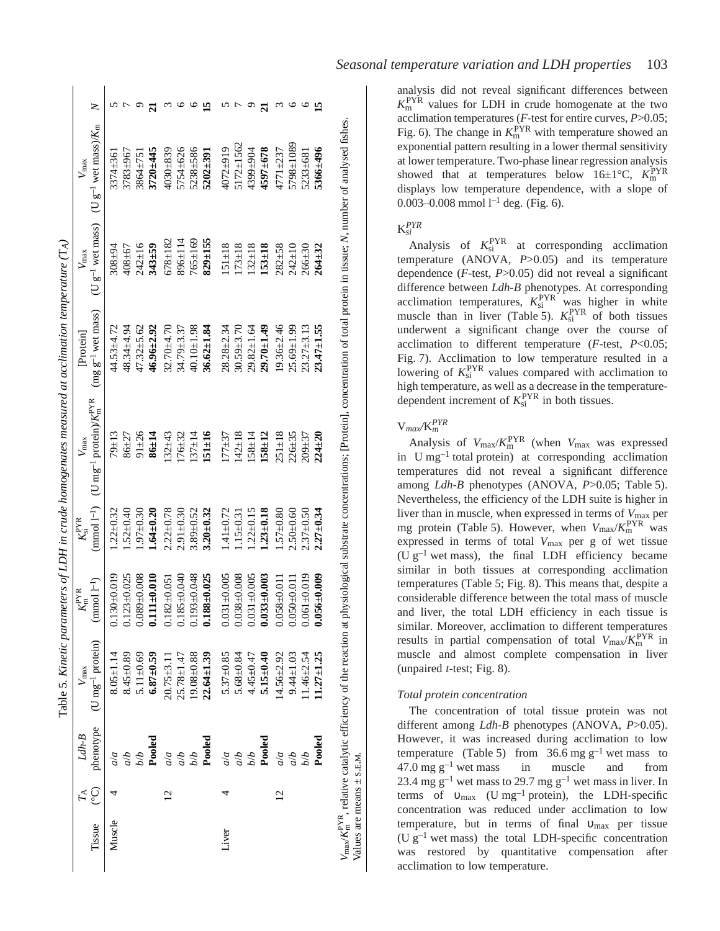| Tissue | <u>ု</u>       | phenotype<br>$Ldh-B$ | $(U \text{ mg}^{-1} \text{ protein})$<br>$V_{\rm max}$ | $(mmod 1^{-1})$<br>$K^{\rm PYR}_{\rm m}$ | $(mmod 1^{-1})$<br>$K_{\rm si}^{\rm PYR}$ | (U mg <sup>-1</sup> protein)/ $K_{\rm m}^{\rm PYR}$<br>$V_{\text{max}}$ | $(mg g^{-1}$ wet mass)<br>Protein | (U $\rm g^{-1}$ wet mass)<br>$V_{\text{max}}$ | (U $g^{-1}$ wet mass)/ $K_m$<br>$V_{\text{max}}$ |  |
|--------|----------------|----------------------|--------------------------------------------------------|------------------------------------------|-------------------------------------------|-------------------------------------------------------------------------|-----------------------------------|-----------------------------------------------|--------------------------------------------------|--|
| Muscle |                | a/a                  | $8.05 \pm 1.14$                                        | $0.130 + 0.019$                          | $.22 + 0.32$                              | $79 + 13$                                                               | $44.53 + 4.72$                    | $308 + 94$                                    | 3374±361                                         |  |
|        |                | $q \rangle p$        | $8.45 \pm 0.89$                                        | $0.123 + 0.025$                          | $.52 \pm 0.40$                            | $86 + 27$                                                               | 48.34±4.94                        | $408 + 67$                                    | 3783±967                                         |  |
|        |                | $\overline{q/q}$     | 5.11 $\pm$ 0.69                                        | $0.089 + 0.008$                          | $.97 + 0.30$                              | $91 \pm 26$                                                             | $47.32 + 5.62$                    | $242 \pm 16$                                  | $3864 \pm 751$                                   |  |
|        |                | Pooled               | $6.87 + 0.59$                                          | $0.111 + 0.010$                          | $1.64 + 0.20$                             | $86 + 14$                                                               | $46.96 \pm 2.92$                  | $343 + 59$                                    | $3720 + 445$                                     |  |
|        | $\overline{2}$ | a/a                  | $20.75 + 3.11$                                         | $0.182 + 0.051$                          | $2.22 + 0.78$                             | $32 + 43$                                                               | 32.70±4.70                        | $678 \pm 182$                                 | 4030±839                                         |  |
|        |                | $q \rangle p$        | $25.78 \pm 1.47$                                       | $0.185 + 0.040$                          | $2.91 + 0.30$                             | $.76 + 32$                                                              | 34.79±3.37                        | $896 \pm 114$                                 | 5754±626                                         |  |
|        |                | Ыb                   | $19.08 + 0.88$                                         | $0.193 + 0.048$                          | $3.89 + 0.52$                             | $37 + 14$                                                               | 40.10±1.98                        | $765 \pm 169$                                 | 5238±586                                         |  |
|        |                | Pooled               | $22.64 \pm 1.39$                                       | $0.188 + 0.025$                          | $3.20 + 0.32$                             | $151 \pm 16$                                                            | $36.62 \pm 1.84$                  | $829 + 155$                                   | $5202 + 391$                                     |  |
| Liver  |                | a/a                  | $5.37 + 0.85$                                          | $0.031 + 0.005$                          | $.41 + 0.72$                              | $77 - 37$                                                               | $28.28 \pm 2.34$                  | $51 \pm 18$                                   | 4072±919                                         |  |
|        |                | q/p                  | $5.68 + 0.84$                                          | $0.038 + 0.008$                          | $.15 \pm 0.31$                            | $142 \pm 18$                                                            | $30.59 + 3.70$                    | $173 \pm 18$                                  | 5172±1562                                        |  |
|        |                | bЫ                   | $4.45 + 0.47$                                          | $0.031 + 0.005$                          | $.22 \pm 0.15$                            | $158 + 14$                                                              | $29.82 \pm 1.64$                  | $132 + 18$                                    | 4399±904                                         |  |
|        |                | Pooled               | $5.15 \pm 0.40$                                        | $0.033 \pm 0.003$                        | $.23 \pm 0.18$                            | $.58 \pm 12$                                                            | $29.70 + 1.49$                    | $153 + 18$                                    | 4597±678                                         |  |
|        | $\overline{2}$ | a/a                  | $14.56 + 2.92$                                         | $0.058 + 0.011$                          | $1.57 + 0.80$                             | $251 \pm 18$                                                            | $19.36 \pm 2.46$                  | $282 + 58$                                    | $4771 + 237$                                     |  |
|        |                | q/p                  | $9.44 \pm 1.03$                                        | $0.050 \pm 0.011$                        | $2.50 + 0.60$                             | $226 + 35$                                                              | $25.69 \pm 1.99$                  | $242 \pm 10$                                  | 5798±1089                                        |  |
|        |                | bЫ                   | $1.46 \pm 2.54$                                        | $0.061 + 0.019$                          | $2.37 + 0.50$                             | $209 \pm 37$                                                            | $23.27 + 3.13$                    | $266 \pm 30$                                  | 5233±681                                         |  |
|        |                | Pooled               | $11.27 \pm 1.25$                                       | $0.056 \pm 0.009$                        | $2.27 + 0.34$                             | $224 \pm 20$                                                            | $23.47 \pm 1.55$                  | $264 \pm 32$                                  | 5366±496                                         |  |

 $\mathfrak{k}$ 

 $\overline{\boldsymbol{v}}$ 

The let  $\mathbf{r}_\mathrm{c}$ 

analysis did not reveal significant differences between  $K_{\rm m}^{\rm PYR}$  values for LDH in crude homogenate at the two acclimation temperatures ( *F*-test for entire curves, *P*>0.05; Fig. 6). The change in  $K_{\rm m}^{\rm PYR}$  with temperature showed an exponential pattern resulting in a lower thermal sensitivity at lower temperature. Two-phase linear regression analysis showed that at temperatures below  $16\pm1^{\circ}\text{C}$ ,  $K_{\text{m}}^{\text{PYR}}$ displays low temperature dependence, with a slope of 0.003–0.008 mmol  $l^{-1}$  deg. (Fig. 6).

# K*si PYR*

Analysis of  $K_{\text{si}}^{\text{PYR}}$  at corresponding acclimation temperature (ANOVA, *P*>0.05) and its temperature dependence ( *F*-test, *P*>0.05) did not reveal a significant difference between *Ldh-B* phenotypes. At corresponding acclimation temperatures,  $K_{si}^{PYR}$  was higher in white muscle than in liver (Table 5).  $K_{si}^{PYR}$  of both tissues underwent a significant change over the course of acclimation to different temperature ( *F*-test, *P*<0.05; Fig. 7). Acclimation to low temperature resulted in a lowering of  $K_{\rm si}^{\rm PYR}$  values compared with acclimation to high temperature, as well as a decrease in the temperaturedependent increment of  $K_{si}^{PYR}$  in both tissues.

# V*max/*K *m PYR*

*V*max/*K*PYR m , relative catalytic efficiency of the reaction at physiological substrate concentrations; [Protein], concentration of total protein in tissue; *N*, number of analysed fishes.

Values are means  $\pm$  S.E.M.

Values are means  $\pm$  s.E.M.

Analysis of  $V_{\text{max}}/K_{\text{m}}^{\text{PYR}}$  (when  $V_{\text{max}}$  was expressed in U mg<sup>-1</sup> total protein) at corresponding acclimation temperatures did not reveal a significant difference among *Ldh-B* phenotypes (ANOVA, P>0.05; Table 5). Nevertheless, the efficiency of the LDH suite is higher in liver than in muscle, when expressed in terms of *V*max per mg protein (Table 5). However, when  $V_{\text{max}}/K_{\text{m}}^{\text{PYR}}$  was expressed in terms of total *V*max per g of wet tissue (U  $g^{-1}$  wet mass), the final LDH efficiency became similar in both tissues at corresponding acclimation temperatures (Table 5; Fig. 8). This means that, despite a considerable difference between the total mass of muscle and liver, the total LDH efficiency in each tissue is similar. Moreover, acclimation to different temperatures results in partial compensation of total  $V_{\text{max}}/K_{\text{m}}^{\text{PYR}}$  in muscle and almost complete compensation in liver (unpaired  $t$ -test; Fig. 8).

# *Total protein concentration*

The concentration of total tissue protein was not different among *Ldh-B* phenotypes (ANOVA, *P*>0.05). However, it was increased during acclimation to low temperature (Table 5) from  $36.6 \text{ mg g}^{-1}$  wet mass to  $47.0 \text{ mg g}^{-1}$  wet in muscle and from 23.4 mg  $g^{-1}$  wet mass to 29.7 mg  $g^{-1}$  wet mass in liver. In terms of  $v_{\text{max}}$  (U mg<sup>-1</sup> protein), the LDH-specific concentration was reduced under acclimation to low temperature, but in terms of final  $v_{\text{max}}$  per tissue (U  $g^{-1}$  wet mass) the total LDH-specific concentration was restored by quantitative compensation after acclimation to low temperature.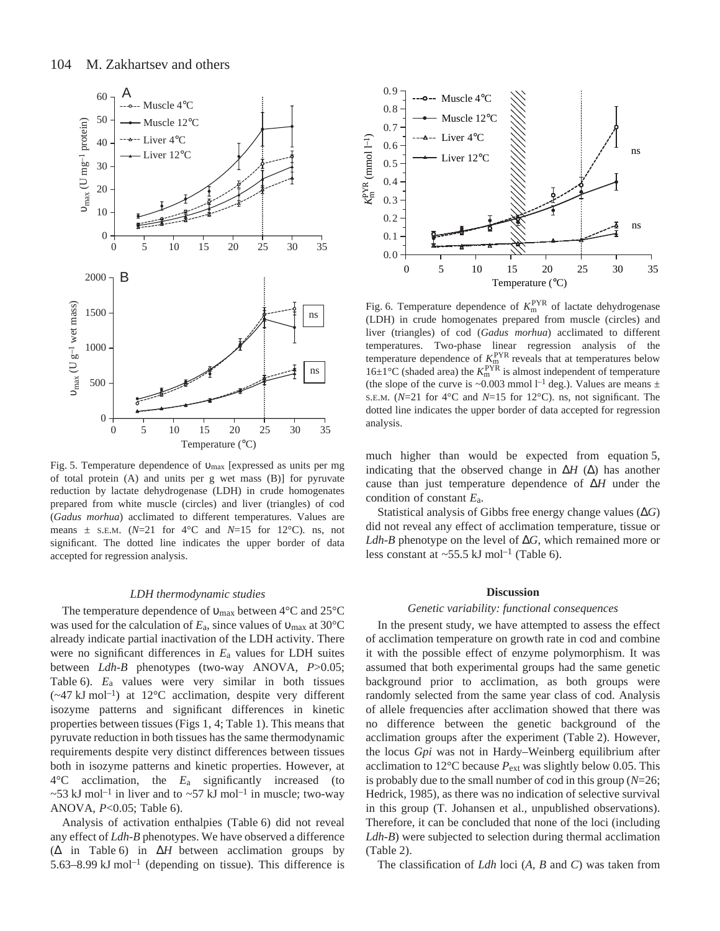

Fig. 5. Temperature dependence of υ<sub>max</sub> [expressed as units per mg of total protein (A) and units per g wet mass (B)] for pyruvate reduction by lactate dehydrogenase (LDH) in crude homogenates prepared from white muscle (circles) and liver (triangles) of cod (*Gadus morhua*) acclimated to different temperatures. Values are means  $\pm$  s.E.M. ( $N=21$  for  $4^{\circ}$ C and  $N=15$  for 12<sup>°</sup>C). ns, not significant. The dotted line indicates the upper border of data accepted for regression analysis.

### *LDH thermodynamic studies*

The temperature dependence of  $v_{max}$  between 4°C and 25°C was used for the calculation of *E*a, since values of υmax at 30°C already indicate partial inactivation of the LDH activity. There were no significant differences in *E*a values for LDH suites between *Ldh-B* phenotypes (two-way ANOVA, *P*>0.05; Table  $6$ ).  $E_a$  values were very similar in both tissues  $(\sim 47 \text{ kJ mol}^{-1})$  at 12°C acclimation, despite very different isozyme patterns and significant differences in kinetic properties between tissues (Figs  $1, 4$ ; Table 1). This means that pyruvate reduction in both tissues has the same thermodynamic requirements despite very distinct differences between tissues both in isozyme patterns and kinetic properties. However, at 4°C acclimation, the *E*a significantly increased (to  $\sim$  53 kJ mol<sup>-1</sup> in liver and to  $\sim$  57 kJ mol<sup>-1</sup> in muscle; two-way ANOVA,  $P<0.05$ ; Table 6).

Analysis of activation enthalpies (Table 6) did not reveal any effect of *Ldh-B* phenotypes. We have observed a difference (∆ in Table·6) in ∆*H* between acclimation groups by 5.63–8.99 kJ mol<sup>-1</sup> (depending on tissue). This difference is



Fig. 6. Temperature dependence of  $K_{\rm m}^{\rm PYR}$  of lactate dehydrogenase (LDH) in crude homogenates prepared from muscle (circles) and liver (triangles) of cod (*Gadus morhua*) acclimated to different temperatures. Two-phase linear regression analysis of the temperature dependence of  $K_{\text{m}}^{\text{PYR}}$  reveals that at temperatures below  $16\pm1\textdegree$ C (shaded area) the  $K_{\text{m}}^{\text{PYR}}$  is almost independent of temperature (the slope of the curve is ~0.003 mmol  $l^{-1}$  deg.). Values are means  $\pm$ S.E.M. (*N*=21 for 4°C and *N*=15 for 12°C). ns, not significant. The dotted line indicates the upper border of data accepted for regression analysis.

much higher than would be expected from equation 5, indicating that the observed change in ∆*H* (∆) has another cause than just temperature dependence of ∆*H* under the condition of constant *E*a.

Statistical analysis of Gibbs free energy change values (∆*G*) did not reveal any effect of acclimation temperature, tissue or *Ldh-B* phenotype on the level of ∆*G*, which remained more or less constant at  $\sim$  55.5 kJ mol<sup>-1</sup> (Table 6).

#### **Discussion**

#### *Genetic variability: functional consequences*

In the present study, we have attempted to assess the effect of acclimation temperature on growth rate in cod and combine it with the possible effect of enzyme polymorphism. It was assumed that both experimental groups had the same genetic background prior to acclimation, as both groups were randomly selected from the same year class of cod. Analysis of allele frequencies after acclimation showed that there was no difference between the genetic background of the acclimation groups after the experiment (Table 2). However, the locus *Gpi* was not in Hardy–Weinberg equilibrium after acclimation to  $12^{\circ}$ C because  $P_{ext}$  was slightly below 0.05. This is probably due to the small number of cod in this group (*N*=26; Hedrick, 1985), as there was no indication of selective survival in this group (T. Johansen et al., unpublished observations). Therefore, it can be concluded that none of the loci (including *Ldh-B*) were subjected to selection during thermal acclimation  $(Table 2)$ .

The classification of *Ldh* loci (*A*, *B* and *C*) was taken from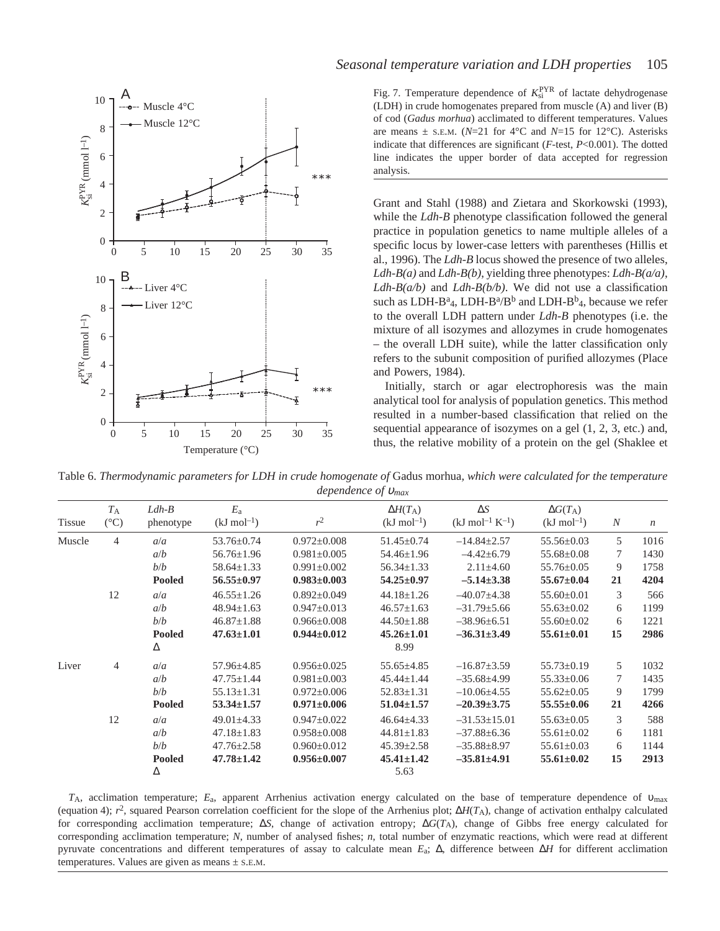

Fig. 7. Temperature dependence of  $K_{si}^{PYR}$  of lactate dehydrogenase (LDH) in crude homogenates prepared from muscle (A) and liver (B) of cod (*Gadus morhua*) acclimated to different temperatures. Values are means  $\pm$  s.E.M. ( $N=21$  for  $4^{\circ}$ C and  $N=15$  for 12<sup>°</sup>C). Asterisks indicate that differences are significant (*F*-test, *P*<0.001). The dotted line indicates the upper border of data accepted for regression analysis.

Grant and Stahl (1988) and Zietara and Skorkowski (1993), while the *Ldh-B* phenotype classification followed the general practice in population genetics to name multiple alleles of a specific locus by lower-case letters with parentheses (Hillis et al., 1996). The *Ldh-B* locus showed the presence of two alleles, *Ldh-B(a)* and *Ldh-B(b)*, yielding three phenotypes: *Ldh-B(a/a)*, *Ldh-B(a/b)* and *Ldh-B(b/b)*. We did not use a classification such as LDH-B<sup>a</sup><sub>4</sub>, LDH-B<sup>a</sup>/B<sup>b</sup> and LDH-B<sup>b</sup><sub>4</sub>, because we refer to the overall LDH pattern under *Ldh-B* phenotypes (i.e. the mixture of all isozymes and allozymes in crude homogenates – the overall LDH suite), while the latter classification only refers to the subunit composition of purified allozymes (Place and Powers, 1984).

Initially, starch or agar electrophoresis was the main analytical tool for analysis of population genetics. This method resulted in a number-based classification that relied on the sequential appearance of isozymes on a gel (1, 2, 3, etc.) and, thus, the relative mobility of a protein on the gel (Shaklee et

Table 6. *Thermodynamic parameters for LDH in crude homogenate of* Gadus morhua*, which were calculated for the temperature dependence of* <sup>υ</sup>*max*

|        | $T_{\rm A}$    | $Ldh-B$       | $E_{a}$                 |                   | $\Delta H(T_{\rm A})$   | $\Delta S$                     | $\Delta G(T_{\rm A})$   |                  |                  |
|--------|----------------|---------------|-------------------------|-------------------|-------------------------|--------------------------------|-------------------------|------------------|------------------|
| Tissue | $(^{\circ}C)$  | phenotype     | $(kJ \text{ mol}^{-1})$ | $r^2$             | $(kJ \text{ mol}^{-1})$ | $(kJ \text{ mol}^{-1} K^{-1})$ | $(kJ \text{ mol}^{-1})$ | $\boldsymbol{N}$ | $\boldsymbol{n}$ |
| Muscle | $\overline{4}$ | a/a           | $53.76 \pm 0.74$        | $0.972 \pm 0.008$ | $51.45 \pm 0.74$        | $-14.84 \pm 2.57$              | $55.56 \pm 0.03$        | 5                | 1016             |
|        |                | a/b           | $56.76 \pm 1.96$        | $0.981 \pm 0.005$ | 54.46±1.96              | $-4.42\pm 6.79$                | $55.68 \pm 0.08$        |                  | 1430             |
|        |                | b/b           | $58.64 \pm 1.33$        | $0.991 \pm 0.002$ | $56.34 \pm 1.33$        | $2.11 \pm 4.60$                | $55.76 \pm 0.05$        | 9                | 1758             |
|        |                | <b>Pooled</b> | $56.55 \pm 0.97$        | $0.983 \pm 0.003$ | $54.25 \pm 0.97$        | $-5.14 \pm 3.38$               | $55.67 \pm 0.04$        | 21               | 4204             |
|        | 12             | a/a           | $46.55 \pm 1.26$        | $0.892 \pm 0.049$ | $44.18 \pm 1.26$        | $-40.07+4.38$                  | $55.60 \pm 0.01$        | 3                | 566              |
|        |                | a/b           | $48.94 \pm 1.63$        | $0.947 \pm 0.013$ | $46.57 \pm 1.63$        | $-31.79 \pm 5.66$              | $55.63 \pm 0.02$        | 6                | 1199             |
|        |                | b/b           | $46.87 \pm 1.88$        | $0.966 \pm 0.008$ | $44.50 \pm 1.88$        | $-38.96\pm 6.51$               | $55.60 \pm 0.02$        | 6                | 1221             |
|        |                | <b>Pooled</b> | $47.63 \pm 1.01$        | $0.944 \pm 0.012$ | $45.26 \pm 1.01$        | $-36.31\pm3.49$                | $55.61 \pm 0.01$        | 15               | 2986             |
|        |                | Δ             |                         |                   | 8.99                    |                                |                         |                  |                  |
| Liver  | $\overline{4}$ | a/a           | $57.96 \pm 4.85$        | $0.956 \pm 0.025$ | $55.65 \pm 4.85$        | $-16.87 \pm 3.59$              | $55.73 \pm 0.19$        | 5                | 1032             |
|        |                | a/b           | $47.75 \pm 1.44$        | $0.981 \pm 0.003$ | $45.44 \pm 1.44$        | $-35.68\pm4.99$                | $55.33 \pm 0.06$        | 7                | 1435             |
|        |                | b/b           | $55.13 \pm 1.31$        | $0.972 \pm 0.006$ | $52.83 \pm 1.31$        | $-10.06\pm4.55$                | $55.62 \pm 0.05$        | 9                | 1799             |
|        |                | <b>Pooled</b> | $53.34 \pm 1.57$        | $0.971 \pm 0.006$ | $51.04 \pm 1.57$        | $-20.39\pm3.75$                | $55.55 \pm 0.06$        | 21               | 4266             |
|        | 12             | a/a           | $49.01 \pm 4.33$        | $0.947 \pm 0.022$ | $46.64 \pm 4.33$        | $-31.53 \pm 15.01$             | $55.63 \pm 0.05$        | 3                | 588              |
|        |                | a/b           | $47.18 \pm 1.83$        | $0.958 \pm 0.008$ | $44.81 \pm 1.83$        | $-37.88 \pm 6.36$              | $55.61 \pm 0.02$        | 6                | 1181             |
|        |                | b/b           | $47.76 \pm 2.58$        | $0.960 \pm 0.012$ | $45.39 \pm 2.58$        | $-35.88 \pm 8.97$              | $55.61 \pm 0.03$        | 6                | 1144             |
|        |                | <b>Pooled</b> | $47.78 \pm 1.42$        | $0.956 \pm 0.007$ | $45.41 \pm 1.42$        | $-35.81 \pm 4.91$              | $55.61 \pm 0.02$        | 15               | 2913             |
|        |                | Δ             |                         |                   | 5.63                    |                                |                         |                  |                  |

*T*A, acclimation temperature; *E*a, apparent Arrhenius activation energy calculated on the base of temperature dependence of υmax (equation 4);  $r^2$ , squared Pearson correlation coefficient for the slope of the Arrhenius plot;  $\Delta H(T_A)$ , change of activation enthalpy calculated for corresponding acclimation temperature; ∆*S*, change of activation entropy; ∆*G*(*T*A), change of Gibbs free energy calculated for corresponding acclimation temperature; *N*, number of analysed fishes; *n*, total number of enzymatic reactions, which were read at different pyruvate concentrations and different temperatures of assay to calculate mean *E*a; ∆, difference between ∆*H* for different acclimation temperatures. Values are given as means  $\pm$  s.E.M.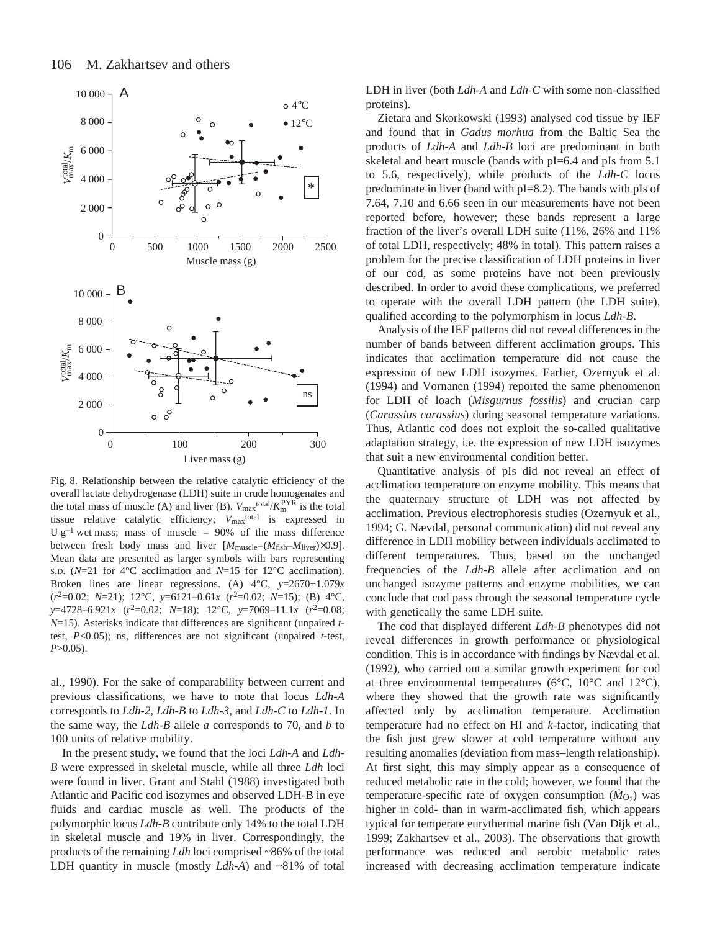

Fig. 8. Relationship between the relative catalytic efficiency of the overall lactate dehydrogenase (LDH) suite in crude homogenates and the total mass of muscle (A) and liver (B).  $V_{\text{max}}^{\text{total}}/K_{\text{m}}^{\text{PYR}}$  is the total tissue relative catalytic efficiency;  $V_{\text{max}}^{\text{total}}$  is expressed in U  $g^{-1}$  wet mass; mass of muscle = 90% of the mass difference between fresh body mass and liver  $[M_{\text{muscle}}=(M_{\text{fish}}-M_{\text{liver}})\times 0.9]$ . Mean data are presented as larger symbols with bars representing S.D. (*N*=21 for 4°C acclimation and *N*=15 for 12°C acclimation). Broken lines are linear regressions. (A) 4°C, *y*=2670+1.079*x* (*r*2=0.02; *N*=21); 12°C, *y*=6121–0.61*x* (*r*2=0.02; *N*=15); (B) 4°C, *y*=4728–6.921*x* (*r*2=0.02; *N*=18); 12°C, *y*=7069–11.1*x* (*r*2=0.08; *N*=15). Asterisks indicate that differences are significant (unpaired *t*test, *P*<0.05); ns, differences are not significant (unpaired *t*-test, *P*>0.05).

al., 1990). For the sake of comparability between current and previous classifications, we have to note that locus *Ldh-A* corresponds to *Ldh-2*, *Ldh-B* to *Ldh-3*, and *Ldh-C* to *Ldh-1*. In the same way, the *Ldh-B* allele *a* corresponds to 70, and *b* to 100 units of relative mobility.

In the present study, we found that the loci *Ldh-A* and *Ldh-B* were expressed in skeletal muscle, while all three *Ldh* loci were found in liver. Grant and Stahl (1988) investigated both Atlantic and Pacific cod isozymes and observed LDH-B in eye fluids and cardiac muscle as well. The products of the polymorphic locus *Ldh-B* contribute only 14% to the total LDH in skeletal muscle and 19% in liver. Correspondingly, the products of the remaining *Ldh* loci comprised ~86% of the total LDH quantity in muscle (mostly *Ldh-A*) and ~81% of total LDH in liver (both *Ldh-A* and *Ldh-C* with some non-classified proteins).

Zietara and Skorkowski (1993) analysed cod tissue by IEF and found that in *Gadus morhua* from the Baltic Sea the products of *Ldh-A* and *Ldh-B* loci are predominant in both skeletal and heart muscle (bands with pI=6.4 and pIs from 5.1 to 5.6, respectively), while products of the *Ldh-C* locus predominate in liver (band with pI=8.2). The bands with pIs of 7.64, 7.10 and 6.66 seen in our measurements have not been reported before, however; these bands represent a large fraction of the liver's overall LDH suite (11%, 26% and 11% of total LDH, respectively; 48% in total). This pattern raises a problem for the precise classification of LDH proteins in liver of our cod, as some proteins have not been previously described. In order to avoid these complications, we preferred to operate with the overall LDH pattern (the LDH suite), qualified according to the polymorphism in locus *Ldh-B*.

Analysis of the IEF patterns did not reveal differences in the number of bands between different acclimation groups. This indicates that acclimation temperature did not cause the expression of new LDH isozymes. Earlier, Ozernyuk et al. (1994) and Vornanen (1994) reported the same phenomenon for LDH of loach (*Misgurnus fossilis*) and crucian carp (*Carassius carassius*) during seasonal temperature variations. Thus, Atlantic cod does not exploit the so-called qualitative adaptation strategy, i.e. the expression of new LDH isozymes that suit a new environmental condition better.

Quantitative analysis of pIs did not reveal an effect of acclimation temperature on enzyme mobility. This means that the quaternary structure of LDH was not affected by acclimation. Previous electrophoresis studies (Ozernyuk et al., 1994; G. Nævdal, personal communication) did not reveal any difference in LDH mobility between individuals acclimated to different temperatures. Thus, based on the unchanged frequencies of the *Ldh-B* allele after acclimation and on unchanged isozyme patterns and enzyme mobilities, we can conclude that cod pass through the seasonal temperature cycle with genetically the same LDH suite.

The cod that displayed different *Ldh-B* phenotypes did not reveal differences in growth performance or physiological condition. This is in accordance with findings by Nævdal et al. (1992), who carried out a similar growth experiment for cod at three environmental temperatures ( $6^{\circ}$ C,  $10^{\circ}$ C and  $12^{\circ}$ C), where they showed that the growth rate was significantly affected only by acclimation temperature. Acclimation temperature had no effect on HI and *k*-factor, indicating that the fish just grew slower at cold temperature without any resulting anomalies (deviation from mass–length relationship). At first sight, this may simply appear as a consequence of reduced metabolic rate in the cold; however, we found that the temperature-specific rate of oxygen consumption  $(M<sub>O2</sub>)$  was higher in cold- than in warm-acclimated fish, which appears typical for temperate eurythermal marine fish (Van Dijk et al., 1999; Zakhartsev et al., 2003). The observations that growth performance was reduced and aerobic metabolic rates increased with decreasing acclimation temperature indicate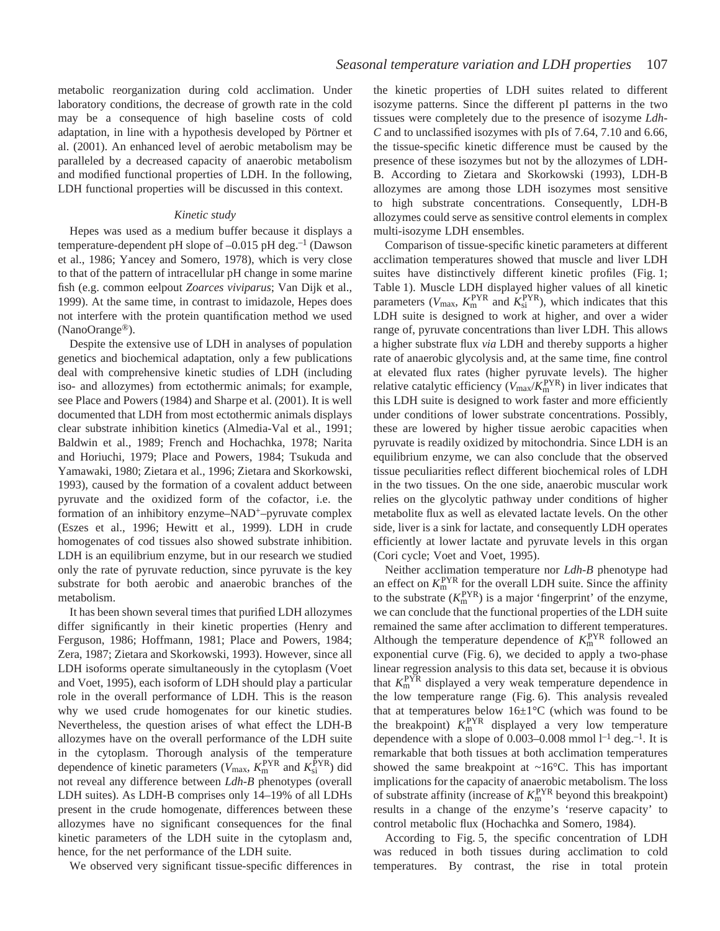metabolic reorganization during cold acclimation. Under laboratory conditions, the decrease of growth rate in the cold may be a consequence of high baseline costs of cold adaptation, in line with a hypothesis developed by Pörtner et al. (2001). An enhanced level of aerobic metabolism may be paralleled by a decreased capacity of anaerobic metabolism and modified functional properties of LDH. In the following, LDH functional properties will be discussed in this context.

# *Kinetic study*

Hepes was used as a medium buffer because it displays a temperature-dependent pH slope of  $-0.015$  pH deg.<sup>-1</sup> (Dawson et al., 1986; Yancey and Somero, 1978), which is very close to that of the pattern of intracellular pH change in some marine fish (e.g. common eelpout *Zoarces viviparus*; Van Dijk et al., 1999). At the same time, in contrast to imidazole, Hepes does not interfere with the protein quantification method we used (NanoOrange®).

Despite the extensive use of LDH in analyses of population genetics and biochemical adaptation, only a few publications deal with comprehensive kinetic studies of LDH (including iso- and allozymes) from ectothermic animals; for example, see Place and Powers (1984) and Sharpe et al. (2001). It is well documented that LDH from most ectothermic animals displays clear substrate inhibition kinetics (Almedia-Val et al., 1991; Baldwin et al., 1989; French and Hochachka, 1978; Narita and Horiuchi, 1979; Place and Powers, 1984; Tsukuda and Yamawaki, 1980; Zietara et al., 1996; Zietara and Skorkowski, 1993), caused by the formation of a covalent adduct between pyruvate and the oxidized form of the cofactor, i.e. the formation of an inhibitory enzyme–NAD+–pyruvate complex (Eszes et al., 1996; Hewitt et al., 1999). LDH in crude homogenates of cod tissues also showed substrate inhibition. LDH is an equilibrium enzyme, but in our research we studied only the rate of pyruvate reduction, since pyruvate is the key substrate for both aerobic and anaerobic branches of the metabolism.

It has been shown several times that purified LDH allozymes differ significantly in their kinetic properties (Henry and Ferguson, 1986; Hoffmann, 1981; Place and Powers, 1984; Zera, 1987; Zietara and Skorkowski, 1993). However, since all LDH isoforms operate simultaneously in the cytoplasm (Voet and Voet, 1995), each isoform of LDH should play a particular role in the overall performance of LDH. This is the reason why we used crude homogenates for our kinetic studies. Nevertheless, the question arises of what effect the LDH-B allozymes have on the overall performance of the LDH suite in the cytoplasm. Thorough analysis of the temperature dependence of kinetic parameters ( $V_{\text{max}}$ ,  $K_{\text{m}}^{\text{PYR}}$  and  $K_{\text{si}}^{\text{PYR}}$ ) did not reveal any difference between *Ldh-B* phenotypes (overall LDH suites). As LDH-B comprises only 14–19% of all LDHs present in the crude homogenate, differences between these allozymes have no significant consequences for the final kinetic parameters of the LDH suite in the cytoplasm and, hence, for the net performance of the LDH suite.

We observed very significant tissue-specific differences in

the kinetic properties of LDH suites related to different isozyme patterns. Since the different pI patterns in the two tissues were completely due to the presence of isozyme *Ldh-C* and to unclassified isozymes with pIs of 7.64, 7.10 and 6.66, the tissue-specific kinetic difference must be caused by the presence of these isozymes but not by the allozymes of LDH-B. According to Zietara and Skorkowski (1993), LDH-B allozymes are among those LDH isozymes most sensitive to high substrate concentrations. Consequently, LDH-B allozymes could serve as sensitive control elements in complex multi-isozyme LDH ensembles.

Comparison of tissue-specific kinetic parameters at different acclimation temperatures showed that muscle and liver LDH suites have distinctively different kinetic profiles (Fig. 1; Table 1). Muscle LDH displayed higher values of all kinetic parameters ( $V_{\text{max}}$ ,  $K_{\text{m}}^{\text{PYR}}$  and  $K_{\text{si}}^{\text{PYR}}$ ), which indicates that this LDH suite is designed to work at higher, and over a wider range of, pyruvate concentrations than liver LDH. This allows a higher substrate flux *via* LDH and thereby supports a higher rate of anaerobic glycolysis and, at the same time, fine control at elevated flux rates (higher pyruvate levels). The higher relative catalytic efficiency  $(V_{\text{max}}/K_{\text{m}}^{\text{PYR}})$  in liver indicates that this LDH suite is designed to work faster and more efficiently under conditions of lower substrate concentrations. Possibly, these are lowered by higher tissue aerobic capacities when pyruvate is readily oxidized by mitochondria. Since LDH is an equilibrium enzyme, we can also conclude that the observed tissue peculiarities reflect different biochemical roles of LDH in the two tissues. On the one side, anaerobic muscular work relies on the glycolytic pathway under conditions of higher metabolite flux as well as elevated lactate levels. On the other side, liver is a sink for lactate, and consequently LDH operates efficiently at lower lactate and pyruvate levels in this organ (Cori cycle; Voet and Voet, 1995).

Neither acclimation temperature nor *Ldh-B* phenotype had an effect on  $K_{\text{m}}^{\text{PYR}}$  for the overall LDH suite. Since the affinity to the substrate  $(K<sub>m</sub><sup>PYR</sup>)$  is a major 'fingerprint' of the enzyme, we can conclude that the functional properties of the LDH suite remained the same after acclimation to different temperatures. Although the temperature dependence of  $K_{\rm m}^{\rm PYR}$  followed an exponential curve (Fig. 6), we decided to apply a two-phase linear regression analysis to this data set, because it is obvious that *K*<sup>m</sup> PYR displayed a very weak temperature dependence in the low temperature range (Fig. 6). This analysis revealed that at temperatures below  $16\pm1\degree C$  (which was found to be the breakpoint)  $K_{\text{m}}^{\text{PYR}}$  displayed a very low temperature dependence with a slope of  $0.003-0.008$  mmol  $l<sup>-1</sup>$  deg.<sup>-1</sup>. It is remarkable that both tissues at both acclimation temperatures showed the same breakpoint at  $\sim 16^{\circ}$ C. This has important implications for the capacity of anaerobic metabolism. The loss of substrate affinity (increase of  $K_{\rm m}^{\rm PYR}$  beyond this breakpoint) results in a change of the enzyme's 'reserve capacity' to control metabolic flux (Hochachka and Somero, 1984).

According to Fig. 5, the specific concentration of LDH was reduced in both tissues during acclimation to cold temperatures. By contrast, the rise in total protein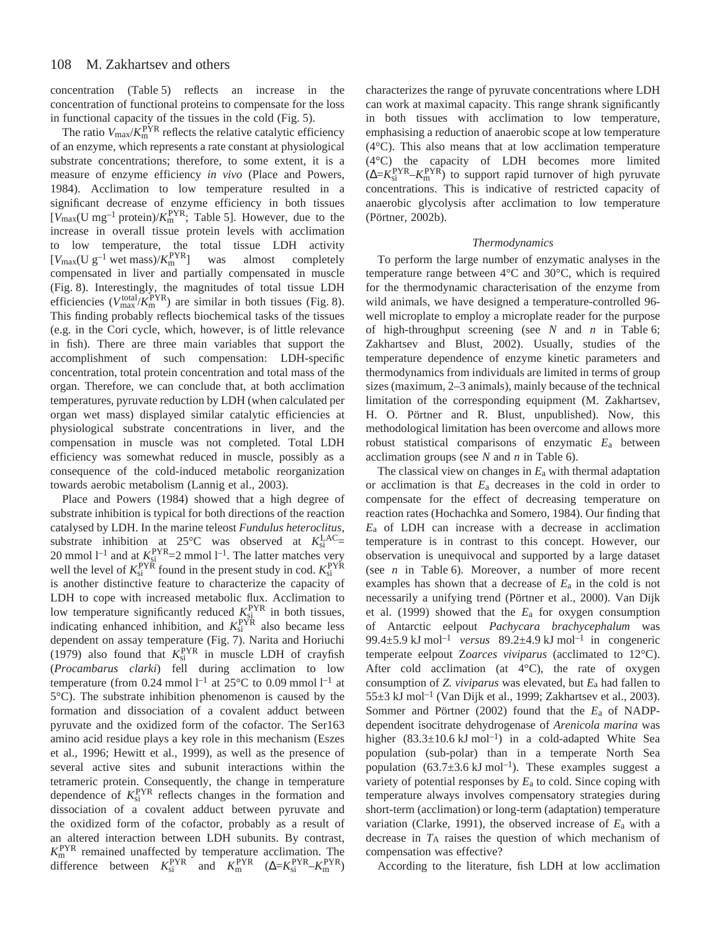concentration (Table 5) reflects an increase in the concentration of functional proteins to compensate for the loss in functional capacity of the tissues in the cold (Fig. 5).

The ratio  $V_{\text{max}}/K_{\text{m}}^{\text{PYR}}$  reflects the relative catalytic efficiency of an enzyme, which represents a rate constant at physiological substrate concentrations; therefore, to some extent, it is a measure of enzyme efficiency *in vivo* (Place and Powers, 1984). Acclimation to low temperature resulted in a significant decrease of enzyme efficiency in both tissues  $[V_{\text{max}}(U \text{ mg}^{-1} \text{ protein})/K_{\text{m}}^{\text{PYR}};$  Table 5]. However, due to the increase in overall tissue protein levels with acclimation to low temperature, the total tissue LDH activity  $[V_{\text{max}}(U g^{-1} \text{ wet mass})/K_{\text{m}}^{\text{PYR}}]$ was almost completely compensated in liver and partially compensated in muscle (Fig. 8). Interestingly, the magnitudes of total tissue LDH efficiencies ( $V_{\text{max}}^{\text{total}}/K_{\text{m}}^{\text{PYR}}$ ) are similar in both tissues (Fig. 8). This finding probably reflects biochemical tasks of the tissues (e.g. in the Cori cycle, which, however, is of little relevance in fish). There are three main variables that support the accomplishment of such compensation: LDH-specific concentration, total protein concentration and total mass of the organ. Therefore, we can conclude that, at both acclimation temperatures, pyruvate reduction by LDH (when calculated per organ wet mass) displayed similar catalytic efficiencies at physiological substrate concentrations in liver, and the compensation in muscle was not completed. Total LDH efficiency was somewhat reduced in muscle, possibly as a consequence of the cold-induced metabolic reorganization towards aerobic metabolism (Lannig et al., 2003).

Place and Powers (1984) showed that a high degree of substrate inhibition is typical for both directions of the reaction catalysed by LDH. In the marine teleost *Fundulus heteroclitus*, substrate inhibition at  $25^{\circ}$ C was observed at  $K_{si}^{LAC}$ 20 mmol  $l^{-1}$  and at  $K_{si}^{PYR}=2$  mmol  $l^{-1}$ . The latter matches very well the level of  $K_{si}^{PYR}$  found in the present study in cod.  $K_{si}^{PYR}$ is another distinctive feature to characterize the capacity of LDH to cope with increased metabolic flux. Acclimation to low temperature significantly reduced  $K_{si}^{PYR}$  in both tissues, indicating enhanced inhibition, and  $K_{si}^{PYR}$  also became less dependent on assay temperature (Fig. 7). Narita and Horiuchi (1979) also found that  $K_{si}^{PYR}$  in muscle LDH of crayfish (*Procambarus clarki*) fell during acclimation to low temperature (from 0.24 mmol  $l^{-1}$  at 25°C to 0.09 mmol  $l^{-1}$  at 5°C). The substrate inhibition phenomenon is caused by the formation and dissociation of a covalent adduct between pyruvate and the oxidized form of the cofactor. The Ser163 amino acid residue plays a key role in this mechanism (Eszes et al., 1996; Hewitt et al., 1999), as well as the presence of several active sites and subunit interactions within the tetrameric protein. Consequently, the change in temperature dependence of  $K_{si}^{PYR}$  reflects changes in the formation and dissociation of a covalent adduct between pyruvate and the oxidized form of the cofactor, probably as a result of an altered interaction between LDH subunits. By contrast,  $K_{\rm m}^{\rm PYR}$  remained unaffected by temperature acclimation. The difference between  $K_{si}^{PYR}$  and  $K_{m}^{PYR}$  ( $\Delta = K_{si}^{PYR} - K_{m}^{PYR}$ )

characterizes the range of pyruvate concentrations where LDH can work at maximal capacity. This range shrank significantly in both tissues with acclimation to low temperature, emphasising a reduction of anaerobic scope at low temperature (4°C). This also means that at low acclimation temperature (4°C) the capacity of LDH becomes more limited  $(\Delta = K_{si}^{PYR} - K_{m}^{PYR})$  to support rapid turnover of high pyruvate concentrations. This is indicative of restricted capacity of anaerobic glycolysis after acclimation to low temperature (Pörtner, 2002b).

# *Thermodynamics*

To perform the large number of enzymatic analyses in the temperature range between 4°C and 30°C, which is required for the thermodynamic characterisation of the enzyme from wild animals, we have designed a temperature-controlled 96 well microplate to employ a microplate reader for the purpose of high-throughput screening (see *N* and *n* in Table 6; Zakhartsev and Blust, 2002). Usually, studies of the temperature dependence of enzyme kinetic parameters and thermodynamics from individuals are limited in terms of group sizes (maximum, 2–3 animals), mainly because of the technical limitation of the corresponding equipment (M. Zakhartsev, H. O. Pörtner and R. Blust, unpublished). Now, this methodological limitation has been overcome and allows more robust statistical comparisons of enzymatic *E*a between acclimation groups (see *N* and *n* in Table 6).

The classical view on changes in *E*a with thermal adaptation or acclimation is that *E*a decreases in the cold in order to compensate for the effect of decreasing temperature on reaction rates (Hochachka and Somero, 1984). Our finding that *E*a of LDH can increase with a decrease in acclimation temperature is in contrast to this concept. However, our observation is unequivocal and supported by a large dataset (see  $n$  in Table 6). Moreover, a number of more recent examples has shown that a decrease of *E*a in the cold is not necessarily a unifying trend (Pörtner et al., 2000). Van Dijk et al. (1999) showed that the *E*a for oxygen consumption of Antarctic eelpout *Pachycara brachycephalum* was 99.4 $\pm$ 5.9 kJ mol<sup>-1</sup> *versus* 89.2 $\pm$ 4.9 kJ mol<sup>-1</sup> in congeneric temperate eelpout Z*oarces viviparus* (acclimated to 12°C). After cold acclimation (at  $4^{\circ}$ C), the rate of oxygen consumption of *Z. viviparus* was elevated, but *E*a had fallen to  $55\pm3$  kJ mol<sup>-1</sup> (Van Dijk et al., 1999; Zakhartsev et al., 2003). Sommer and Pörtner (2002) found that the *E*a of NADPdependent isocitrate dehydrogenase of *Arenicola marina* was higher  $(83.3\pm10.6 \text{ kJ mol}^{-1})$  in a cold-adapted White Sea population (sub-polar) than in a temperate North Sea population  $(63.7\pm3.6 \text{ kJ mol}^{-1})$ . These examples suggest a variety of potential responses by *E*a to cold. Since coping with temperature always involves compensatory strategies during short-term (acclimation) or long-term (adaptation) temperature variation (Clarke, 1991), the observed increase of *E*a with a decrease in  $T_A$  raises the question of which mechanism of compensation was effective?

According to the literature, fish LDH at low acclimation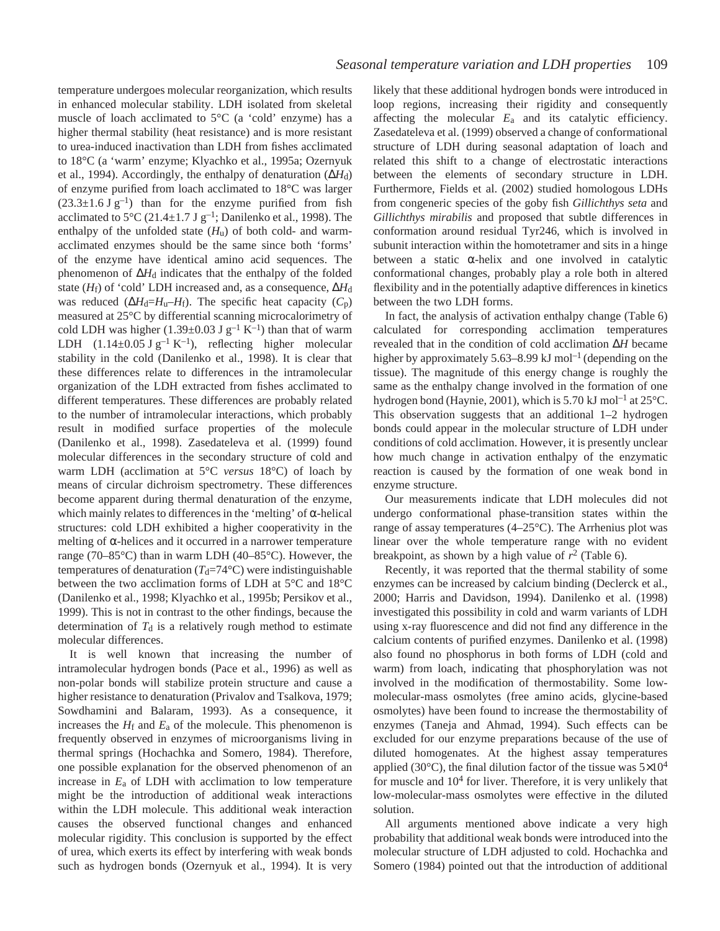temperature undergoes molecular reorganization, which results in enhanced molecular stability. LDH isolated from skeletal muscle of loach acclimated to 5°C (a 'cold' enzyme) has a higher thermal stability (heat resistance) and is more resistant to urea-induced inactivation than LDH from fishes acclimated to 18°C (a 'warm' enzyme; Klyachko et al., 1995a; Ozernyuk et al., 1994). Accordingly, the enthalpy of denaturation (∆*H*d) of enzyme purified from loach acclimated to 18°C was larger  $(23.3\pm1.6~J~g^{-1})$  than for the enzyme purified from fish acclimated to 5 $\mathrm{^{\circ}C}$  (21.4 $\pm$ 1.7 J g<sup>-1</sup>; Danilenko et al., 1998). The enthalpy of the unfolded state  $(H_u)$  of both cold- and warmacclimated enzymes should be the same since both 'forms' of the enzyme have identical amino acid sequences. The phenomenon of ∆*H*d indicates that the enthalpy of the folded state ( $H_f$ ) of 'cold' LDH increased and, as a consequence,  $\Delta H_d$ was reduced ( $\Delta H_d = H_u - H_f$ ). The specific heat capacity ( $C_p$ ) measured at 25°C by differential scanning microcalorimetry of cold LDH was higher (1.39 $\pm$ 0.03 J g<sup>-1</sup> K<sup>-1</sup>) than that of warm LDH  $(1.14\pm0.05 \text{ J g}^{-1} \text{ K}^{-1})$ , reflecting higher molecular stability in the cold (Danilenko et al., 1998). It is clear that these differences relate to differences in the intramolecular organization of the LDH extracted from fishes acclimated to different temperatures. These differences are probably related to the number of intramolecular interactions, which probably result in modified surface properties of the molecule (Danilenko et al., 1998). Zasedateleva et al. (1999) found molecular differences in the secondary structure of cold and warm LDH (acclimation at 5°C *versus* 18°C) of loach by means of circular dichroism spectrometry. These differences become apparent during thermal denaturation of the enzyme, which mainly relates to differences in the 'melting' of  $\alpha$ -helical structures: cold LDH exhibited a higher cooperativity in the melting of  $\alpha$ -helices and it occurred in a narrower temperature range (70–85°C) than in warm LDH (40–85°C). However, the temperatures of denaturation  $(T_d=74^{\circ}C)$  were indistinguishable between the two acclimation forms of LDH at 5°C and 18°C (Danilenko et al., 1998; Klyachko et al., 1995b; Persikov et al., 1999). This is not in contrast to the other findings, because the determination of  $T<sub>d</sub>$  is a relatively rough method to estimate molecular differences.

It is well known that increasing the number of intramolecular hydrogen bonds (Pace et al., 1996) as well as non-polar bonds will stabilize protein structure and cause a higher resistance to denaturation (Privalov and Tsalkova, 1979; Sowdhamini and Balaram, 1993). As a consequence, it increases the  $H_f$  and  $E_a$  of the molecule. This phenomenon is frequently observed in enzymes of microorganisms living in thermal springs (Hochachka and Somero, 1984). Therefore, one possible explanation for the observed phenomenon of an increase in *E*a of LDH with acclimation to low temperature might be the introduction of additional weak interactions within the LDH molecule. This additional weak interaction causes the observed functional changes and enhanced molecular rigidity. This conclusion is supported by the effect of urea, which exerts its effect by interfering with weak bonds such as hydrogen bonds (Ozernyuk et al., 1994). It is very

likely that these additional hydrogen bonds were introduced in loop regions, increasing their rigidity and consequently affecting the molecular *E*a and its catalytic efficiency. Zasedateleva et al. (1999) observed a change of conformational structure of LDH during seasonal adaptation of loach and related this shift to a change of electrostatic interactions between the elements of secondary structure in LDH. Furthermore, Fields et al. (2002) studied homologous LDHs from congeneric species of the goby fish *Gillichthys seta* and *Gillichthys mirabilis* and proposed that subtle differences in conformation around residual Tyr246, which is involved in subunit interaction within the homotetramer and sits in a hinge between a static  $\alpha$ -helix and one involved in catalytic conformational changes, probably play a role both in altered flexibility and in the potentially adaptive differences in kinetics between the two LDH forms.

In fact, the analysis of activation enthalpy change (Table·6) calculated for corresponding acclimation temperatures revealed that in the condition of cold acclimation ∆*H* became higher by approximately 5.63–8.99 kJ mol<sup>-1</sup> (depending on the tissue). The magnitude of this energy change is roughly the same as the enthalpy change involved in the formation of one hydrogen bond (Haynie, 2001), which is 5.70 kJ mol<sup>-1</sup> at 25 $^{\circ}$ C. This observation suggests that an additional 1–2 hydrogen bonds could appear in the molecular structure of LDH under conditions of cold acclimation. However, it is presently unclear how much change in activation enthalpy of the enzymatic reaction is caused by the formation of one weak bond in enzyme structure.

Our measurements indicate that LDH molecules did not undergo conformational phase-transition states within the range of assay temperatures (4–25°C). The Arrhenius plot was linear over the whole temperature range with no evident breakpoint, as shown by a high value of  $r^2$  (Table 6).

Recently, it was reported that the thermal stability of some enzymes can be increased by calcium binding (Declerck et al., 2000; Harris and Davidson, 1994). Danilenko et al. (1998) investigated this possibility in cold and warm variants of LDH using x-ray fluorescence and did not find any difference in the calcium contents of purified enzymes. Danilenko et al. (1998) also found no phosphorus in both forms of LDH (cold and warm) from loach, indicating that phosphorylation was not involved in the modification of thermostability. Some lowmolecular-mass osmolytes (free amino acids, glycine-based osmolytes) have been found to increase the thermostability of enzymes (Taneja and Ahmad, 1994). Such effects can be excluded for our enzyme preparations because of the use of diluted homogenates. At the highest assay temperatures applied (30 $^{\circ}$ C), the final dilution factor of the tissue was  $5\times10^{4}$ for muscle and  $10<sup>4</sup>$  for liver. Therefore, it is very unlikely that low-molecular-mass osmolytes were effective in the diluted solution.

All arguments mentioned above indicate a very high probability that additional weak bonds were introduced into the molecular structure of LDH adjusted to cold. Hochachka and Somero (1984) pointed out that the introduction of additional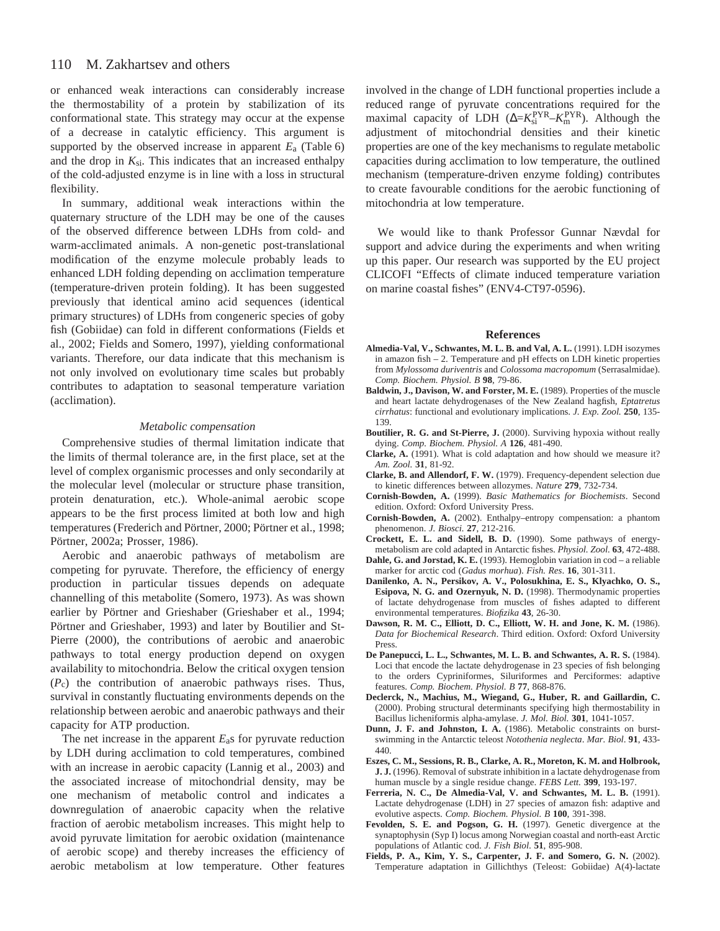or enhanced weak interactions can considerably increase the thermostability of a protein by stabilization of its conformational state. This strategy may occur at the expense of a decrease in catalytic efficiency. This argument is supported by the observed increase in apparent  $E_a$  (Table 6) and the drop in  $K_{si}$ . This indicates that an increased enthalpy of the cold-adjusted enzyme is in line with a loss in structural flexibility.

In summary, additional weak interactions within the quaternary structure of the LDH may be one of the causes of the observed difference between LDHs from cold- and warm-acclimated animals. A non-genetic post-translational modification of the enzyme molecule probably leads to enhanced LDH folding depending on acclimation temperature (temperature-driven protein folding). It has been suggested previously that identical amino acid sequences (identical primary structures) of LDHs from congeneric species of goby fish (Gobiidae) can fold in different conformations (Fields et al., 2002; Fields and Somero, 1997), yielding conformational variants. Therefore, our data indicate that this mechanism is not only involved on evolutionary time scales but probably contributes to adaptation to seasonal temperature variation (acclimation).

#### *Metabolic compensation*

Comprehensive studies of thermal limitation indicate that the limits of thermal tolerance are, in the first place, set at the level of complex organismic processes and only secondarily at the molecular level (molecular or structure phase transition, protein denaturation, etc.). Whole-animal aerobic scope appears to be the first process limited at both low and high temperatures (Frederich and Pörtner, 2000; Pörtner et al., 1998; Pörtner, 2002a; Prosser, 1986).

Aerobic and anaerobic pathways of metabolism are competing for pyruvate. Therefore, the efficiency of energy production in particular tissues depends on adequate channelling of this metabolite (Somero, 1973). As was shown earlier by Pörtner and Grieshaber (Grieshaber et al., 1994; Pörtner and Grieshaber, 1993) and later by Boutilier and St-Pierre (2000), the contributions of aerobic and anaerobic pathways to total energy production depend on oxygen availability to mitochondria. Below the critical oxygen tension (*P*c) the contribution of anaerobic pathways rises. Thus, survival in constantly fluctuating environments depends on the relationship between aerobic and anaerobic pathways and their capacity for ATP production.

The net increase in the apparent *E*as for pyruvate reduction by LDH during acclimation to cold temperatures, combined with an increase in aerobic capacity (Lannig et al., 2003) and the associated increase of mitochondrial density, may be one mechanism of metabolic control and indicates a downregulation of anaerobic capacity when the relative fraction of aerobic metabolism increases. This might help to avoid pyruvate limitation for aerobic oxidation (maintenance of aerobic scope) and thereby increases the efficiency of aerobic metabolism at low temperature. Other features

involved in the change of LDH functional properties include a reduced range of pyruvate concentrations required for the maximal capacity of LDH ( $\Delta = K_{si}^{PYR} - K_{m}^{PYR}$ ). Although the adjustment of mitochondrial densities and their kinetic properties are one of the key mechanisms to regulate metabolic capacities during acclimation to low temperature, the outlined mechanism (temperature-driven enzyme folding) contributes to create favourable conditions for the aerobic functioning of mitochondria at low temperature.

We would like to thank Professor Gunnar Nævdal for support and advice during the experiments and when writing up this paper. Our research was supported by the EU project CLICOFI "Effects of climate induced temperature variation on marine coastal fishes" (ENV4-CT97-0596).

#### **References**

- **Almedia-Val, V., Schwantes, M. L. B. and Val, A. L.** (1991). LDH isozymes in amazon fish – 2. Temperature and pH effects on LDH kinetic properties from *Mylossoma duriventris* and *Colossoma macropomum* (Serrasalmidae). *Comp. Biochem. Physiol. B* **98**, 79-86.
- **Baldwin, J., Davison, W. and Forster, M. E.** (1989). Properties of the muscle and heart lactate dehydrogenases of the New Zealand hagfish, *Eptatretus cirrhatus*: functional and evolutionary implications. *J. Exp. Zool.* **250**, 135- 139.
- **Boutilier, R. G. and St-Pierre, J.** (2000). Surviving hypoxia without really dying. *Comp. Biochem. Physiol. A* **126**, 481-490.
- **Clarke, A.** (1991). What is cold adaptation and how should we measure it? *Am. Zool.* **31**, 81-92.
- **Clarke, B. and Allendorf, F. W.** (1979). Frequency-dependent selection due to kinetic differences between allozymes. *Nature* **279**, 732-734.
- **Cornish-Bowden, A.** (1999). *Basic Mathematics for Biochemists*. Second edition. Oxford: Oxford University Press.
- **Cornish-Bowden, A.** (2002). Enthalpy–entropy compensation: a phantom phenomenon. *J. Biosci.* **27**, 212-216.
- **Crockett, E. L. and Sidell, B. D.** (1990). Some pathways of energymetabolism are cold adapted in Antarctic fishes. *Physiol. Zool.* **63**, 472-488.
- **Dahle, G. and Jorstad, K. E.** (1993). Hemoglobin variation in cod a reliable marker for arctic cod (*Gadus morhua*). *Fish. Res*. **16**, 301-311.
- **Danilenko, A. N., Persikov, A. V., Polosukhina, E. S., Klyachko, O. S., Esipova, N. G. and Ozernyuk, N. D.** (1998). Thermodynamic properties of lactate dehydrogenase from muscles of fishes adapted to different environmental temperatures. *Biofizika* **43**, 26-30.
- **Dawson, R. M. C., Elliott, D. C., Elliott, W. H. and Jone, K. M.** (1986). *Data for Biochemical Research*. Third edition. Oxford: Oxford University Press.
- **De Panepucci, L. L., Schwantes, M. L. B. and Schwantes, A. R. S.** (1984). Loci that encode the lactate dehydrogenase in 23 species of fish belonging to the orders Cypriniformes, Siluriformes and Perciformes: adaptive features. *Comp. Biochem. Physiol. B* **77**, 868-876.
- **Declerck, N., Machius, M., Wiegand, G., Huber, R. and Gaillardin, C.** (2000). Probing structural determinants specifying high thermostability in Bacillus licheniformis alpha-amylase. *J. Mol. Biol.* **301**, 1041-1057.
- **Dunn, J. F. and Johnston, I. A.** (1986). Metabolic constraints on burstswimming in the Antarctic teleost *Notothenia neglecta*. *Mar. Biol*. **91**, 433- 440.
- **Eszes, C. M., Sessions, R. B., Clarke, A. R., Moreton, K. M. and Holbrook, J. J.** (1996). Removal of substrate inhibition in a lactate dehydrogenase from human muscle by a single residue change. *FEBS Lett.* **399**, 193-197.
- **Ferreria, N. C., De Almedia-Val, V. and Schwantes, M. L. B.** (1991). Lactate dehydrogenase (LDH) in 27 species of amazon fish: adaptive and evolutive aspects. *Comp. Biochem. Physiol. B* **100**, 391-398.
- **Fevolden, S. E. and Pogson, G. H.** (1997). Genetic divergence at the synaptophysin (Syp I) locus among Norwegian coastal and north-east Arctic populations of Atlantic cod. *J. Fish Biol*. **51**, 895-908.
- **Fields, P. A., Kim, Y. S., Carpenter, J. F. and Somero, G. N.** (2002). Temperature adaptation in Gillichthys (Teleost: Gobiidae) A(4)-lactate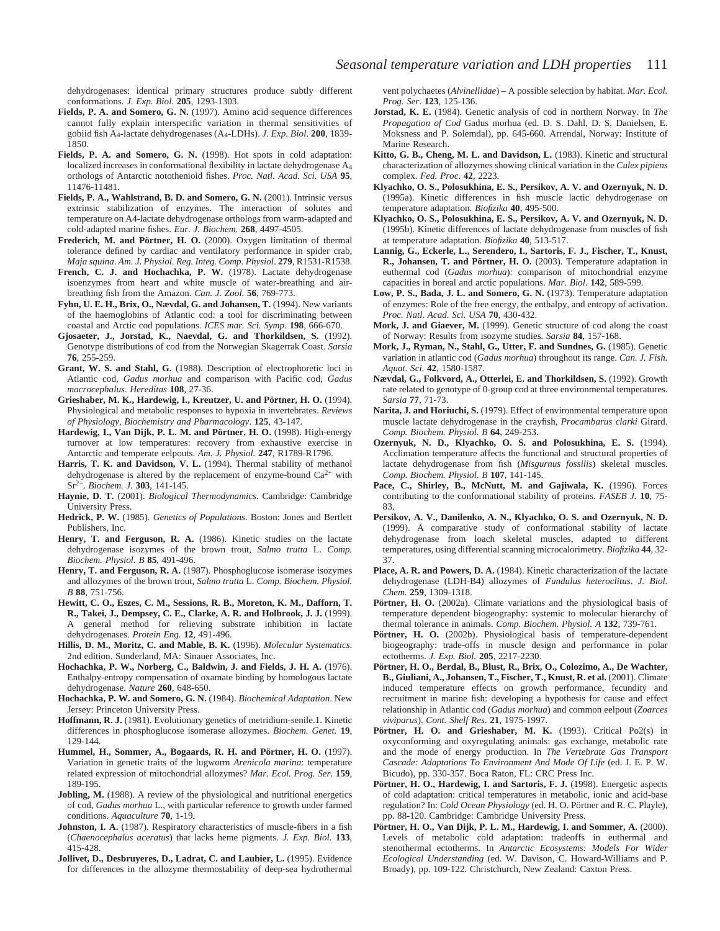dehydrogenases: identical primary structures produce subtly different conformations. *J. Exp. Biol.* **205**, 1293-1303.

- **Fields, P. A. and Somero, G. N.** (1997). Amino acid sequence differences cannot fully explain interspecific variation in thermal sensitivities of gobiid fish A4-lactate dehydrogenases (A4-LDHs). *J. Exp. Biol.* **200**, 1839- 1850.
- **Fields, P. A. and Somero, G. N.** (1998). Hot spots in cold adaptation: localized increases in conformational flexibility in lactate dehydrogenase  $A_4$ orthologs of Antarctic notothenioid fishes. *Proc. Natl. Acad. Sci. USA* **95**, 11476-11481.
- **Fields, P. A., Wahlstrand, B. D. and Somero, G. N.** (2001). Intrinsic versus extrinsic stabilization of enzymes. The interaction of solutes and temperature on A4-lactate dehydrogenase orthologs from warm-adapted and cold-adapted marine fishes. *Eur. J. Biochem.* **268**, 4497-4505.
- **Frederich, M. and Pörtner, H. O.** (2000). Oxygen limitation of thermal tolerance defined by cardiac and ventilatory performance in spider crab, *Maja squina*. *Am. J. Physiol. Reg. Integ. Comp. Physiol*. **279**, R1531-R1538.
- **French, C. J. and Hochachka, P. W.** (1978). Lactate dehydrogenase isoenzymes from heart and white muscle of water-breathing and airbreathing fish from the Amazon. *Can. J. Zool.* **56**, 769-773.
- **Fyhn, U. E. H., Brix, O., Nævdal, G. and Johansen, T.** (1994). New variants of the haemoglobins of Atlantic cod: a tool for discriminating between coastal and Arctic cod populations. *ICES mar. Sci. Symp.* **198**, 666-670.
- **Gjosaeter, J., Jorstad, K., Naevdal, G. and Thorkildsen, S.** (1992). Genotype distributions of cod from the Norwegian Skagerrak Coast. *Sarsia* **76**, 255-259.
- **Grant, W. S. and Stahl, G.** (1988). Description of electrophoretic loci in Atlantic cod, *Gadus morhua* and comparison with Pacific cod, *Gadus macrocephalus*. *Hereditas* **108**, 27-36.
- **Grieshaber, M. K., Hardewig, I., Kreutzer, U. and Pörtner, H. O.** (1994). Physiological and metabolic responses to hypoxia in invertebrates. *Reviews of Physiology, Biochemistry and Pharmacology*. **125**, 43-147.
- **Hardewig, I., Van Dijk, P. L. M. and Pörtner, H. O.** (1998). High-energy turnover at low temperatures: recovery from exhaustive exercise in Antarctic and temperate eelpouts. *Am. J. Physiol.* **247**, R1789-R1796.
- Harris, T. K. and Davidson, V. L. (1994). Thermal stability of methanol dehydrogenase is altered by the replacement of enzyme-bound  $Ca^{2+}$  with Sr2+. *Biochem. J.* **303**, 141-145.
- **Haynie, D. T.** (2001). *Biological Thermodynamics*. Cambridge: Cambridge University Press.
- **Hedrick, P. W.** (1985). *Genetics of Populations*. Boston: Jones and Bertlett Publishers, Inc.
- **Henry, T. and Ferguson, R. A.** (1986). Kinetic studies on the lactate dehydrogenase isozymes of the brown trout, *Salmo trutta* L. *Comp. Biochem. Physiol. B* **85**, 491-496.
- **Henry, T. and Ferguson, R. A.** (1987). Phosphoglucose isomerase isozymes and allozymes of the brown trout, *Salmo trutta* L. *Comp. Biochem. Physiol. B* **88**, 751-756.
- **Hewitt, C. O., Eszes, C. M., Sessions, R. B., Moreton, K. M., Dafforn, T. R., Takei, J., Dempsey, C. E., Clarke, A. R. and Holbrook, J. J.** (1999). A general method for relieving substrate inhibition in lactate dehydrogenases. *Protein Eng.* **12**, 491-496.
- **Hillis, D. M., Moritz, C. and Mable, B. K.** (1996). *Molecular Systematics*. 2nd edition. Sunderland, MA: Sinauer Associates, Inc.
- **Hochachka, P. W., Norberg, C., Baldwin, J. and Fields, J. H. A.** (1976). Enthalpy-entropy compensation of oxamate binding by homologous lactate dehydrogenase. *Nature* **260**, 648-650.
- **Hochachka, P. W. and Somero, G. N.** (1984). *Biochemical Adaptation*. New Jersey: Princeton University Press.
- **Hoffmann, R. J.** (1981). Evolutionary genetics of metridium-senile.1. Kinetic differences in phosphoglucose isomerase allozymes. *Biochem. Genet.* **19**, 129-144.
- **Hummel, H., Sommer, A., Bogaards, R. H. and Pörtner, H. O.** (1997). Variation in genetic traits of the lugworm *Arenicola marina*: temperature related expression of mitochondrial allozymes? *Mar. Ecol. Prog. Ser*. **159**, 189-195.
- **Jobling, M.** (1988). A review of the physiological and nutritional energetics of cod, *Gadus morhua* L., with particular reference to growth under farmed conditions. *Aquaculture* **70**, 1-19.
- **Johnston, I. A.** (1987). Respiratory characteristics of muscle-fibers in a fish (*Chaenocephalus aceratus*) that lacks heme pigments. *J. Exp. Biol.* **133**, 415-428.
- **Jollivet, D., Desbruyeres, D., Ladrat, C. and Laubier, L.** (1995). Evidence for differences in the allozyme thermostability of deep-sea hydrothermal

vent polychaetes (*Alvinellidae*) – A possible selection by habitat. *Mar. Ecol. Prog. Ser*. **123**, 125-136.

- **Jorstad, K. E.** (1984). Genetic analysis of cod in northern Norway. In *The Propagation of Cod* Gadus morhua (ed. D. S. Dahl, D. S. Danielsen, E. Moksness and P. Solemdal), pp. 645-660. Arrendal, Norway: Institute of Marine Research.
- **Kitto, G. B., Cheng, M. L. and Davidson, L.** (1983). Kinetic and structural characterization of allozymes showing clinical variation in the *Culex pipiens* complex. *Fed. Proc.* **42**, 2223.
- **Klyachko, O. S., Polosukhina, E. S., Persikov, A. V. and Ozernyuk, N. D.** (1995a). Kinetic differences in fish muscle lactic dehydrogenase on temperature adaptation. *Biofizika* **40**, 495-500.
- **Klyachko, O. S., Polosukhina, E. S., Persikov, A. V. and Ozernyuk, N. D.** (1995b). Kinetic differences of lactate dehydrogenase from muscles of fish at temperature adaptation. *Biofizika* **40**, 513-517.
- **Lannig, G., Eckerle, L., Serendero, I., Sartoris, F. J., Fischer, T., Knust, R., Johansen, T. and Pörtner, H. O.** (2003). Temperature adaptation in euthermal cod (*Gadus morhua*): comparison of mitochondrial enzyme capacities in boreal and arctic populations. *Mar. Biol*. **142**, 589-599.
- **Low, P. S., Bada, J. L. and Somero, G. N.** (1973). Temperature adaptation of enzymes: Role of the free energy, the enthalpy, and entropy of activation. *Proc. Natl. Acad. Sci. USA* **70**, 430-432.
- **Mork, J. and Giaever, M.** (1999). Genetic structure of cod along the coast of Norway: Results from isozyme studies. *Sarsia* **84**, 157-168.
- **Mork, J., Ryman, N., Stahl, G., Utter, F. and Sundnes, G.** (1985). Genetic variation in atlantic cod (*Gadus morhua*) throughout its range. *Can. J. Fish. Aquat. Sci*. **42**, 1580-1587.
- **Nævdal, G., Folkvord, A., Otterlei, E. and Thorkildsen, S.** (1992). Growth rate related to genotype of 0-group cod at three environmental temperatures. *Sarsia* **77**, 71-73.
- **Narita, J. and Horiuchi, S.** (1979). Effect of environmental temperature upon muscle lactate dehydrogenase in the crayfish, *Procambarus clarki* Girard. *Comp. Biochem. Physiol. B* **64**, 249-253.
- **Ozernyuk, N. D., Klyachko, O. S. and Polosukhina, E. S.** (1994). Acclimation temperature affects the functional and structural properties of lactate dehydrogenase from fish (*Misgurnus fossilis*) skeletal muscles. *Comp. Biochem. Physiol. B* **107**, 141-145.
- Pace, C., Shirley, B., McNutt, M. and Gajiwala, K. (1996). Forces contributing to the conformational stability of proteins. *FASEB J.* **10**, 75- 83.
- **Persikov, A. V., Danilenko, A. N., Klyachko, O. S. and Ozernyuk, N. D.** (1999). A comparative study of conformational stability of lactate dehydrogenase from loach skeletal muscles, adapted to different temperatures, using differential scanning microcalorimetry. *Biofizika* **44**, 32- 37.
- **Place, A. R. and Powers, D. A.** (1984). Kinetic characterization of the lactate dehydrogenase (LDH-B4) allozymes of *Fundulus heteroclitus*. *J. Biol. Chem.* **259**, 1309-1318.
- **Pörtner, H. O.** (2002a). Climate variations and the physiological basis of temperature dependent biogeography: systemic to molecular hierarchy of thermal tolerance in animals. *Comp. Biochem. Physiol. A* **132**, 739-761.
- **Pörtner, H. O.** (2002b). Physiological basis of temperature-dependent biogeography: trade-offs in muscle design and performance in polar ectotherms. *J. Exp. Biol.* **205**, 2217-2230.
- **Pörtner, H. O., Berdal, B., Blust, R., Brix, O., Colozimo, A., De Wachter, B., Giuliani, A., Johansen, T., Fischer, T., Knust, R. et al.** (2001). Climate induced temperature effects on growth performance, fecundity and recruitment in marine fish: developing a hypothesis for cause and effect relationship in Atlantic cod (*Gadus morhua*) and common eelpout (*Zoarces viviparus*). *Cont. Shelf Res*. **21**, 1975-1997.
- Pörtner, H. O. and Grieshaber, M. K. (1993). Critical Po2(s) in oxyconforming and oxyregulating animals: gas exchange, metabolic rate and the mode of energy production. In *The Vertebrate Gas Transport Cascade: Adaptations To Environment And Mode Of Life* (ed. J. E. P. W. Bicudo), pp. 330-357. Boca Raton, FL: CRC Press Inc.
- **Pörtner, H. O., Hardewig, I. and Sartoris, F. J.** (1998). Energetic aspects of cold adaptation: critical temperatures in metabolic, ionic and acid-base regulation? In: *Cold Ocean Physiology* (ed. H. O. Pörtner and R. C. Playle), pp. 88-120. Cambridge: Cambridge University Press.
- **Pörtner, H. O., Van Dijk, P. L. M., Hardewig, I. and Sommer, A.** (2000). Levels of metabolic cold adaptation: tradeoffs in euthermal and stenothermal ectotherms. In *Antarctic Ecosystems: Models For Wider Ecological Understanding* (ed. W. Davison, C. Howard-Williams and P. Broady), pp. 109-122. Christchurch, New Zealand: Caxton Press.